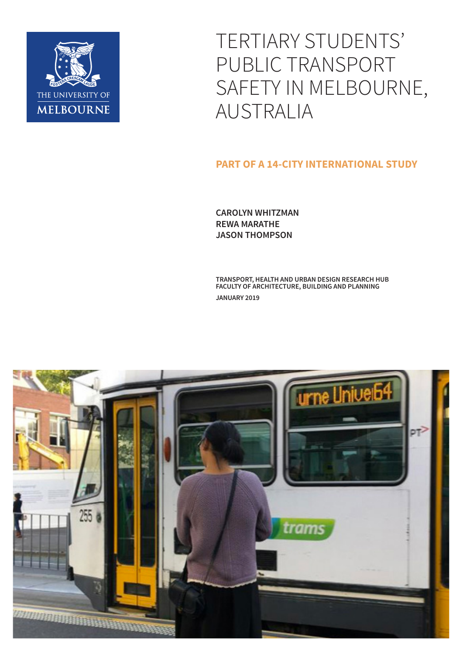

TERTIARY STUDENTS' PUBLIC TRANSPORT SAFETY IN MELBOURNE, AUSTRALIA

#### **PART OF A 14-CITY INTERNATIONAL STUDY**

**CAROLYN WHITZMAN REWA MARATHE JASON THOMPSON**

**TRANSPORT, HEALTH AND URBAN DESIGN RESEARCH HUB FACULTY OF ARCHITECTURE, BUILDING AND PLANNING JANUARY 2019**

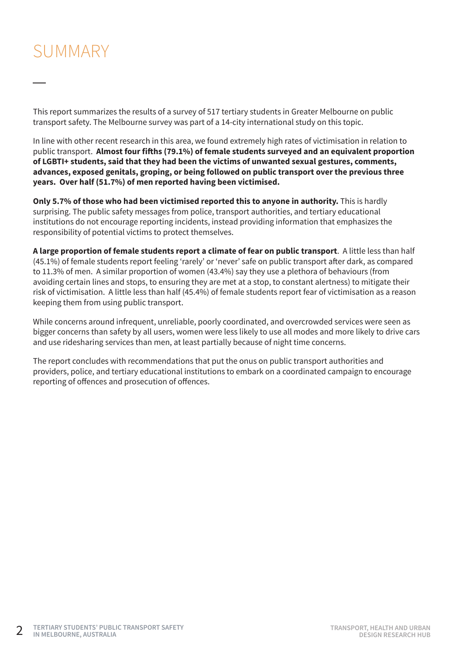### SUMMARY

This report summarizes the results of a survey of 517 tertiary students in Greater Melbourne on public transport safety. The Melbourne survey was part of a 14-city international study on this topic.

In line with other recent research in this area, we found extremely high rates of victimisation in relation to public transport. **Almost four fifths (79.1%) of female students surveyed and an equivalent proportion of LGBTI+ students, said that they had been the victims of unwanted sexual gestures, comments, advances, exposed genitals, groping, or being followed on public transport over the previous three years. Over half (51.7%) of men reported having been victimised.**

**Only 5.7% of those who had been victimised reported this to anyone in authority.** This is hardly surprising. The public safety messages from police, transport authorities, and tertiary educational institutions do not encourage reporting incidents, instead providing information that emphasizes the responsibility of potential victims to protect themselves.

**A large proportion of female students report a climate of fear on public transport**. A little less than half (45.1%) of female students report feeling 'rarely' or 'never' safe on public transport after dark, as compared to 11.3% of men. A similar proportion of women (43.4%) say they use a plethora of behaviours (from avoiding certain lines and stops, to ensuring they are met at a stop, to constant alertness) to mitigate their risk of victimisation. A little less than half (45.4%) of female students report fear of victimisation as a reason keeping them from using public transport.

While concerns around infrequent, unreliable, poorly coordinated, and overcrowded services were seen as bigger concerns than safety by all users, women were less likely to use all modes and more likely to drive cars and use ridesharing services than men, at least partially because of night time concerns.

The report concludes with recommendations that put the onus on public transport authorities and providers, police, and tertiary educational institutions to embark on a coordinated campaign to encourage reporting of offences and prosecution of offences.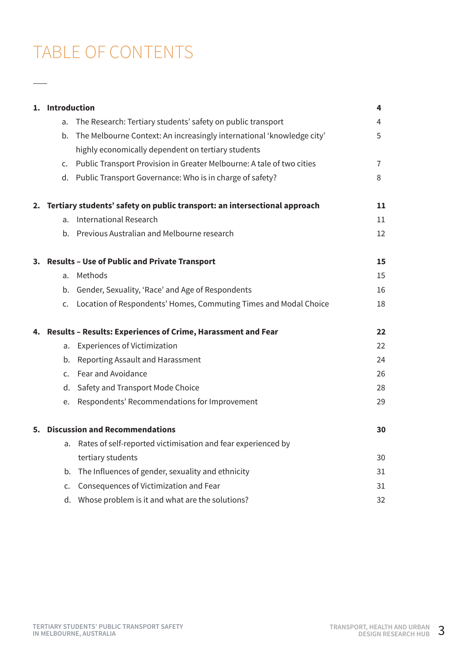## TABLE OF CONTENTS

 $\overbrace{\hspace{27mm}}^{}$ 

|    | 1. Introduction                                                 |                                                                              | 4  |
|----|-----------------------------------------------------------------|------------------------------------------------------------------------------|----|
|    | a.                                                              | The Research: Tertiary students' safety on public transport                  | 4  |
|    | b.                                                              | The Melbourne Context: An increasingly international 'knowledge city'        | 5  |
|    |                                                                 | highly economically dependent on tertiary students                           |    |
|    | C.                                                              | Public Transport Provision in Greater Melbourne: A tale of two cities        | 7  |
|    |                                                                 | d. Public Transport Governance: Who is in charge of safety?                  | 8  |
|    |                                                                 | 2. Tertiary students' safety on public transport: an intersectional approach | 11 |
|    |                                                                 | a. International Research                                                    | 11 |
|    |                                                                 | b. Previous Australian and Melbourne research                                | 12 |
|    | 3. Results - Use of Public and Private Transport                |                                                                              | 15 |
|    | a.                                                              | Methods                                                                      | 15 |
|    |                                                                 | b. Gender, Sexuality, 'Race' and Age of Respondents                          | 16 |
|    |                                                                 | c. Location of Respondents' Homes, Commuting Times and Modal Choice          | 18 |
|    | 4. Results - Results: Experiences of Crime, Harassment and Fear |                                                                              | 22 |
|    | a.                                                              | <b>Experiences of Victimization</b>                                          | 22 |
|    |                                                                 | b. Reporting Assault and Harassment                                          | 24 |
|    |                                                                 | c. Fear and Avoidance                                                        | 26 |
|    |                                                                 | d. Safety and Transport Mode Choice                                          | 28 |
|    |                                                                 | e. Respondents' Recommendations for Improvement                              | 29 |
| 5. | <b>Discussion and Recommendations</b>                           |                                                                              | 30 |
|    | a.                                                              | Rates of self-reported victimisation and fear experienced by                 |    |
|    |                                                                 | tertiary students                                                            | 30 |
|    | b.                                                              | The Influences of gender, sexuality and ethnicity                            | 31 |
|    | C <sub>1</sub>                                                  | Consequences of Victimization and Fear                                       | 31 |
|    |                                                                 | d. Whose problem is it and what are the solutions?                           | 32 |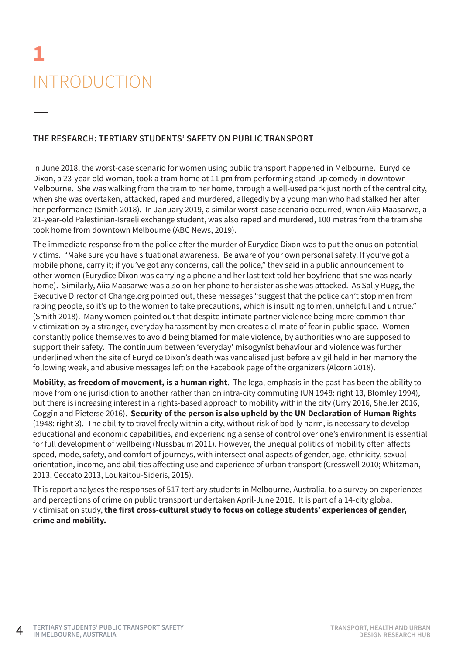# 1 INTRODUCTION

#### **THE RESEARCH: TERTIARY STUDENTS' SAFETY ON PUBLIC TRANSPORT**

In June 2018, the worst-case scenario for women using public transport happened in Melbourne. Eurydice Dixon, a 23-year-old woman, took a tram home at 11 pm from performing stand-up comedy in downtown Melbourne. She was walking from the tram to her home, through a well-used park just north of the central city, when she was overtaken, attacked, raped and murdered, allegedly by a young man who had stalked her after her performance (Smith 2018). In January 2019, a similar worst-case scenario occurred, when Aiia Maasarwe, a 21-year-old Palestinian-Israeli exchange student, was also raped and murdered, 100 metres from the tram she took home from downtown Melbourne (ABC News, 2019).

The immediate response from the police after the murder of Eurydice Dixon was to put the onus on potential victims. "Make sure you have situational awareness. Be aware of your own personal safety. If you've got a mobile phone, carry it; if you've got any concerns, call the police," they said in a public announcement to other women (Eurydice Dixon was carrying a phone and her last text told her boyfriend that she was nearly home). Similarly, Aiia Maasarwe was also on her phone to her sister as she was attacked. As Sally Rugg, the Executive Director of Change.org pointed out, these messages "suggest that the police can't stop men from raping people, so it's up to the women to take precautions, which is insulting to men, unhelpful and untrue." (Smith 2018). Many women pointed out that despite intimate partner violence being more common than victimization by a stranger, everyday harassment by men creates a climate of fear in public space. Women constantly police themselves to avoid being blamed for male violence, by authorities who are supposed to support their safety. The continuum between 'everyday' misogynist behaviour and violence was further underlined when the site of Eurydice Dixon's death was vandalised just before a vigil held in her memory the following week, and abusive messages left on the Facebook page of the organizers (Alcorn 2018).

**Mobility, as freedom of movement, is a human right**. The legal emphasis in the past has been the ability to move from one jurisdiction to another rather than on intra-city commuting (UN 1948: right 13, Blomley 1994), but there is increasing interest in a rights-based approach to mobility within the city (Urry 2016, Sheller 2016, Coggin and Pieterse 2016). **Security of the person is also upheld by the UN Declaration of Human Rights** (1948: right 3). The ability to travel freely within a city, without risk of bodily harm, is necessary to develop educational and economic capabilities, and experiencing a sense of control over one's environment is essential for full development of wellbeing (Nussbaum 2011). However, the unequal politics of mobility often affects speed, mode, safety, and comfort of journeys, with intersectional aspects of gender, age, ethnicity, sexual orientation, income, and abilities affecting use and experience of urban transport (Cresswell 2010; Whitzman, 2013, Ceccato 2013, Loukaitou-Sideris, 2015).

This report analyses the responses of 517 tertiary students in Melbourne, Australia, to a survey on experiences and perceptions of crime on public transport undertaken April-June 2018. It is part of a 14-city global victimisation study, **the first cross-cultural study to focus on college students' experiences of gender, crime and mobility.**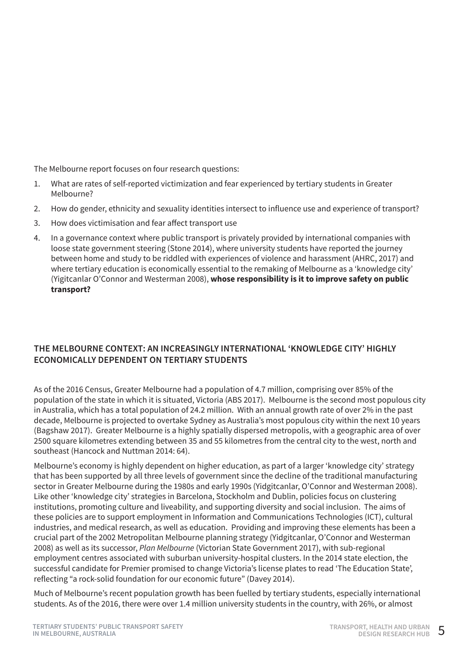The Melbourne report focuses on four research questions:

- 1. What are rates of self-reported victimization and fear experienced by tertiary students in Greater Melbourne?
- 2. How do gender, ethnicity and sexuality identities intersect to influence use and experience of transport?
- 3. How does victimisation and fear affect transport use
- 4. In a governance context where public transport is privately provided by international companies with loose state government steering (Stone 2014), where university students have reported the journey between home and study to be riddled with experiences of violence and harassment (AHRC, 2017) and where tertiary education is economically essential to the remaking of Melbourne as a 'knowledge city' (Yigitcanlar O'Connor and Westerman 2008), **whose responsibility is it to improve safety on public transport?**

#### **THE MELBOURNE CONTEXT: AN INCREASINGLY INTERNATIONAL 'KNOWLEDGE CITY' HIGHLY ECONOMICALLY DEPENDENT ON TERTIARY STUDENTS**

As of the 2016 Census, Greater Melbourne had a population of 4.7 million, comprising over 85% of the population of the state in which it is situated, Victoria (ABS 2017). Melbourne is the second most populous city in Australia, which has a total population of 24.2 million. With an annual growth rate of over 2% in the past decade, Melbourne is projected to overtake Sydney as Australia's most populous city within the next 10 years (Bagshaw 2017). Greater Melbourne is a highly spatially dispersed metropolis, with a geographic area of over 2500 square kilometres extending between 35 and 55 kilometres from the central city to the west, north and southeast (Hancock and Nuttman 2014: 64).

Melbourne's economy is highly dependent on higher education, as part of a larger 'knowledge city' strategy that has been supported by all three levels of government since the decline of the traditional manufacturing sector in Greater Melbourne during the 1980s and early 1990s (Yidgitcanlar, O'Connor and Westerman 2008). Like other 'knowledge city' strategies in Barcelona, Stockholm and Dublin, policies focus on clustering institutions, promoting culture and liveability, and supporting diversity and social inclusion. The aims of these policies are to support employment in Information and Communications Technologies (ICT), cultural industries, and medical research, as well as education. Providing and improving these elements has been a crucial part of the 2002 Metropolitan Melbourne planning strategy (Yidgitcanlar, O'Connor and Westerman 2008) as well as its successor, *Plan Melbourne* (Victorian State Government 2017), with sub-regional employment centres associated with suburban university-hospital clusters. In the 2014 state election, the successful candidate for Premier promised to change Victoria's license plates to read 'The Education State', reflecting "a rock-solid foundation for our economic future" (Davey 2014).

Much of Melbourne's recent population growth has been fuelled by tertiary students, especially international students. As of the 2016, there were over 1.4 million university students in the country, with 26%, or almost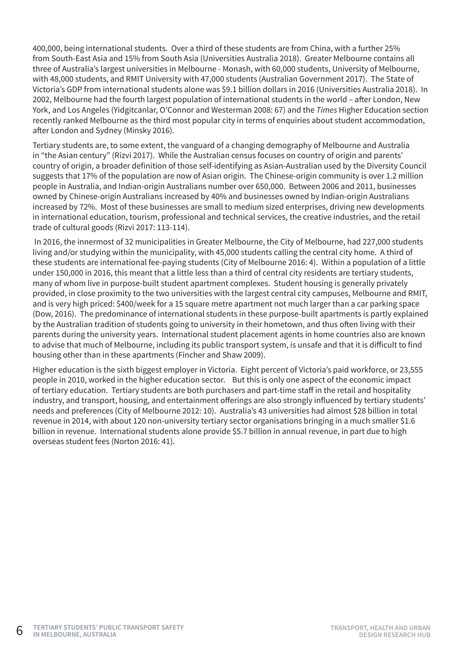400,000, being international students. Over a third of these students are from China, with a further 25% from South-East Asia and 15% from South Asia (Universities Australia 2018). Greater Melbourne contains all three of Australia's largest universities in Melbourne - Monash, with 60,000 students, University of Melbourne, with 48,000 students, and RMIT University with 47,000 students (Australian Government 2017). The State of Victoria's GDP from international students alone was \$9.1 billion dollars in 2016 (Universities Australia 2018). In 2002, Melbourne had the fourth largest population of international students in the world – after London, New York, and Los Angeles (Yidgitcanlar, O'Connor and Westerman 2008: 67) and the *Times* Higher Education section recently ranked Melbourne as the third most popular city in terms of enquiries about student accommodation, after London and Sydney (Minsky 2016).

Tertiary students are, to some extent, the vanguard of a changing demography of Melbourne and Australia in "the Asian century" (Rizvi 2017). While the Australian census focuses on country of origin and parents' country of origin, a broader definition of those self-identifying as Asian-Australian used by the Diversity Council suggests that 17% of the population are now of Asian origin. The Chinese-origin community is over 1.2 million people in Australia, and Indian-origin Australians number over 650,000. Between 2006 and 2011, businesses owned by Chinese-origin Australians increased by 40% and businesses owned by Indian-origin Australians increased by 72%. Most of these businesses are small to medium sized enterprises, driving new developments in international education, tourism, professional and technical services, the creative industries, and the retail trade of cultural goods (Rizvi 2017: 113-114).

 In 2016, the innermost of 32 municipalities in Greater Melbourne, the City of Melbourne, had 227,000 students living and/or studying within the municipality, with 45,000 students calling the central city home. A third of these students are international fee-paying students (City of Melbourne 2016: 4). Within a population of a little under 150,000 in 2016, this meant that a little less than a third of central city residents are tertiary students, many of whom live in purpose-built student apartment complexes. Student housing is generally privately provided, in close proximity to the two universities with the largest central city campuses, Melbourne and RMIT, and is very high priced: \$400/week for a 15 square metre apartment not much larger than a car parking space (Dow, 2016). The predominance of international students in these purpose-built apartments is partly explained by the Australian tradition of students going to university in their hometown, and thus often living with their parents during the university years. International student placement agents in home countries also are known to advise that much of Melbourne, including its public transport system, is unsafe and that it is difficult to find housing other than in these apartments (Fincher and Shaw 2009).

Higher education is the sixth biggest employer in Victoria. Eight percent of Victoria's paid workforce, or 23,555 people in 2010, worked in the higher education sector. But this is only one aspect of the economic impact of tertiary education. Tertiary students are both purchasers and part-time staff in the retail and hospitality industry, and transport, housing, and entertainment offerings are also strongly influenced by tertiary students' needs and preferences (City of Melbourne 2012: 10). Australia's 43 universities had almost \$28 billion in total revenue in 2014, with about 120 non-university tertiary sector organisations bringing in a much smaller \$1.6 billion in revenue. International students alone provide \$5.7 billion in annual revenue, in part due to high overseas student fees (Norton 2016: 41).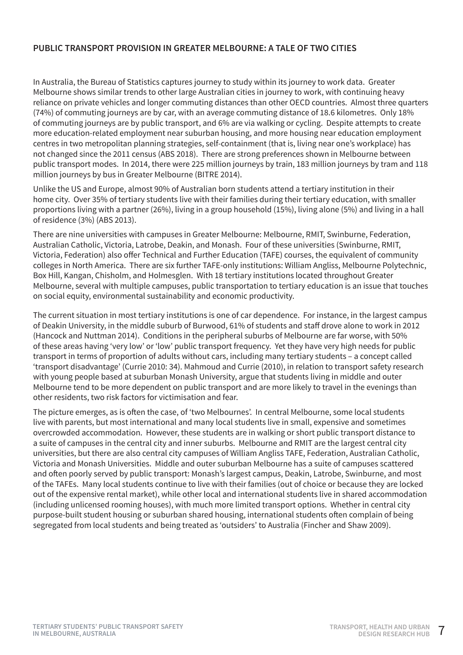#### **PUBLIC TRANSPORT PROVISION IN GREATER MELBOURNE: A TALE OF TWO CITIES**

In Australia, the Bureau of Statistics captures journey to study within its journey to work data. Greater Melbourne shows similar trends to other large Australian cities in journey to work, with continuing heavy reliance on private vehicles and longer commuting distances than other OECD countries. Almost three quarters (74%) of commuting journeys are by car, with an average commuting distance of 18.6 kilometres. Only 18% of commuting journeys are by public transport, and 6% are via walking or cycling. Despite attempts to create more education-related employment near suburban housing, and more housing near education employment centres in two metropolitan planning strategies, self-containment (that is, living near one's workplace) has not changed since the 2011 census (ABS 2018). There are strong preferences shown in Melbourne between public transport modes. In 2014, there were 225 million journeys by train, 183 million journeys by tram and 118 million journeys by bus in Greater Melbourne (BITRE 2014).

Unlike the US and Europe, almost 90% of Australian born students attend a tertiary institution in their home city. Over 35% of tertiary students live with their families during their tertiary education, with smaller proportions living with a partner (26%), living in a group household (15%), living alone (5%) and living in a hall of residence (3%) (ABS 2013).

There are nine universities with campuses in Greater Melbourne: Melbourne, RMIT, Swinburne, Federation, Australian Catholic, Victoria, Latrobe, Deakin, and Monash. Four of these universities (Swinburne, RMIT, Victoria, Federation) also offer Technical and Further Education (TAFE) courses, the equivalent of community colleges in North America. There are six further TAFE-only institutions: William Angliss, Melbourne Polytechnic, Box Hill, Kangan, Chisholm, and Holmesglen. With 18 tertiary institutions located throughout Greater Melbourne, several with multiple campuses, public transportation to tertiary education is an issue that touches on social equity, environmental sustainability and economic productivity.

The current situation in most tertiary institutions is one of car dependence. For instance, in the largest campus of Deakin University, in the middle suburb of Burwood, 61% of students and staff drove alone to work in 2012 (Hancock and Nuttman 2014). Conditions in the peripheral suburbs of Melbourne are far worse, with 50% of these areas having 'very low' or 'low' public transport frequency. Yet they have very high needs for public transport in terms of proportion of adults without cars, including many tertiary students – a concept called 'transport disadvantage' (Currie 2010: 34). Mahmoud and Currie (2010), in relation to transport safety research with young people based at suburban Monash University, argue that students living in middle and outer Melbourne tend to be more dependent on public transport and are more likely to travel in the evenings than other residents, two risk factors for victimisation and fear.

The picture emerges, as is often the case, of 'two Melbournes'. In central Melbourne, some local students live with parents, but most international and many local students live in small, expensive and sometimes overcrowded accommodation. However, these students are in walking or short public transport distance to a suite of campuses in the central city and inner suburbs. Melbourne and RMIT are the largest central city universities, but there are also central city campuses of William Angliss TAFE, Federation, Australian Catholic, Victoria and Monash Universities. Middle and outer suburban Melbourne has a suite of campuses scattered and often poorly served by public transport: Monash's largest campus, Deakin, Latrobe, Swinburne, and most of the TAFEs. Many local students continue to live with their families (out of choice or because they are locked out of the expensive rental market), while other local and international students live in shared accommodation (including unlicensed rooming houses), with much more limited transport options. Whether in central city purpose-built student housing or suburban shared housing, international students often complain of being segregated from local students and being treated as 'outsiders' to Australia (Fincher and Shaw 2009).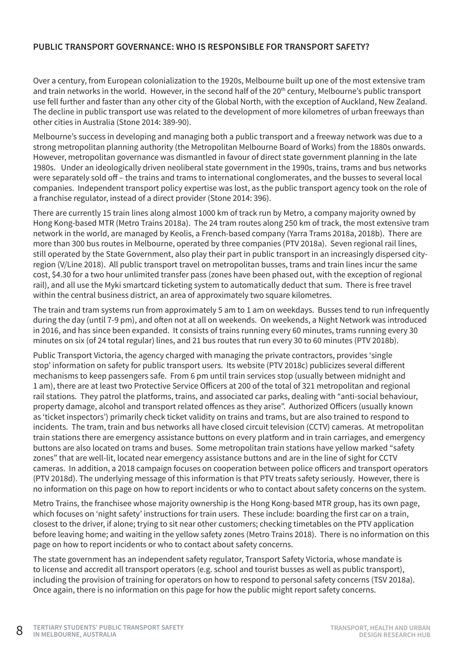#### **PUBLIC TRANSPORT GOVERNANCE: WHO IS RESPONSIBLE FOR TRANSPORT SAFETY?**

Over a century, from European colonialization to the 1920s, Melbourne built up one of the most extensive tram and train networks in the world. However, in the second half of the 20th century, Melbourne's public transport use fell further and faster than any other city of the Global North, with the exception of Auckland, New Zealand. The decline in public transport use was related to the development of more kilometres of urban freeways than other cities in Australia (Stone 2014: 389-90).

Melbourne's success in developing and managing both a public transport and a freeway network was due to a strong metropolitan planning authority (the Metropolitan Melbourne Board of Works) from the 1880s onwards. However, metropolitan governance was dismantled in favour of direct state government planning in the late 1980s. Under an ideologically driven neoliberal state government in the 1990s, trains, trams and bus networks were separately sold off – the trains and trams to international conglomerates, and the busses to several local companies. Independent transport policy expertise was lost, as the public transport agency took on the role of a franchise regulator, instead of a direct provider (Stone 2014: 396).

There are currently 15 train lines along almost 1000 km of track run by Metro, a company majority owned by Hong Kong-based MTR (Metro Trains 2018a). The 24 tram routes along 250 km of track, the most extensive tram network in the world, are managed by Keolis, a French-based company (Yarra Trams 2018a, 2018b). There are more than 300 bus routes in Melbourne, operated by three companies (PTV 2018a). Seven regional rail lines, still operated by the State Government, also play their part in public transport in an increasingly dispersed cityregion (V/Line 2018). All public transport travel on metropolitan busses, trams and train lines incur the same cost, \$4.30 for a two hour unlimited transfer pass (zones have been phased out, with the exception of regional rail), and all use the Myki smartcard ticketing system to automatically deduct that sum. There is free travel within the central business district, an area of approximately two square kilometres.

The train and tram systems run from approximately 5 am to 1 am on weekdays. Busses tend to run infrequently during the day (until 7-9 pm), and often not at all on weekends. On weekends, a Night Network was introduced in 2016, and has since been expanded. It consists of trains running every 60 minutes, trams running every 30 minutes on six (of 24 total regular) lines, and 21 bus routes that run every 30 to 60 minutes (PTV 2018b).

Public Transport Victoria, the agency charged with managing the private contractors, provides 'single stop' information on safety for public transport users. Its website (PTV 2018c) publicizes several different mechanisms to keep passengers safe. From 6 pm until train services stop (usually between midnight and 1 am), there are at least two Protective Service Officers at 200 of the total of 321 metropolitan and regional rail stations. They patrol the platforms, trains, and associated car parks, dealing with "anti-social behaviour, property damage, alcohol and transport related offences as they arise". Authorized Officers (usually known as 'ticket inspectors') primarily check ticket validity on trains and trams, but are also trained to respond to incidents. The tram, train and bus networks all have closed circuit television (CCTV) cameras. At metropolitan train stations there are emergency assistance buttons on every platform and in train carriages, and emergency buttons are also located on trams and buses. Some metropolitan train stations have yellow marked "safety zones" that are well-lit, located near emergency assistance buttons and are in the line of sight for CCTV cameras. In addition, a 2018 campaign focuses on cooperation between police officers and transport operators (PTV 2018d). The underlying message of this information is that PTV treats safety seriously. However, there is no information on this page on how to report incidents or who to contact about safety concerns on the system.

Metro Trains, the franchisee whose majority ownership is the Hong Kong-based MTR group, has its own page, which focuses on 'night safety' instructions for train users. These include: boarding the first car on a train, closest to the driver, if alone; trying to sit near other customers; checking timetables on the PTV application before leaving home; and waiting in the yellow safety zones (Metro Trains 2018). There is no information on this page on how to report incidents or who to contact about safety concerns.

The state government has an independent safety regulator, Transport Safety Victoria, whose mandate is to license and accredit all transport operators (e.g. school and tourist busses as well as public transport), including the provision of training for operators on how to respond to personal safety concerns (TSV 2018a). Once again, there is no information on this page for how the public might report safety concerns.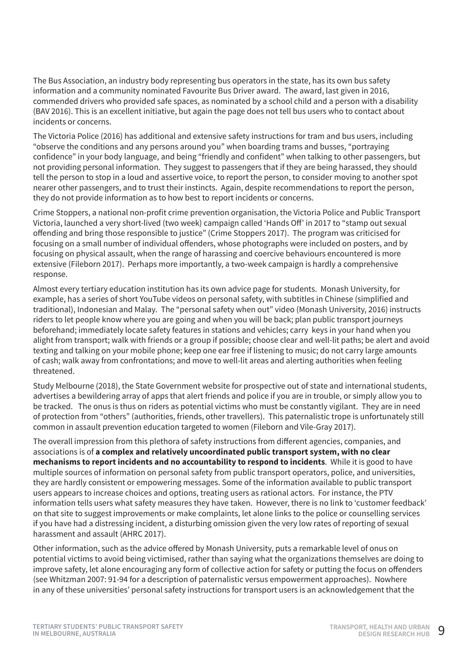The Bus Association, an industry body representing bus operators in the state, has its own bus safety information and a community nominated Favourite Bus Driver award. The award, last given in 2016, commended drivers who provided safe spaces, as nominated by a school child and a person with a disability (BAV 2016). This is an excellent initiative, but again the page does not tell bus users who to contact about incidents or concerns.

The Victoria Police (2016) has additional and extensive safety instructions for tram and bus users, including "observe the conditions and any persons around you" when boarding trams and busses, "portraying confidence" in your body language, and being "friendly and confident" when talking to other passengers, but not providing personal information. They suggest to passengers that if they are being harassed, they should tell the person to stop in a loud and assertive voice, to report the person, to consider moving to another spot nearer other passengers, and to trust their instincts. Again, despite recommendations to report the person, they do not provide information as to how best to report incidents or concerns.

Crime Stoppers, a national non-profit crime prevention organisation, the Victoria Police and Public Transport Victoria, launched a very short-lived (two week) campaign called 'Hands Off' in 2017 to "stamp out sexual offending and bring those responsible to justice" (Crime Stoppers 2017). The program was criticised for focusing on a small number of individual offenders, whose photographs were included on posters, and by focusing on physical assault, when the range of harassing and coercive behaviours encountered is more extensive (Fileborn 2017). Perhaps more importantly, a two-week campaign is hardly a comprehensive response.

Almost every tertiary education institution has its own advice page for students. Monash University, for example, has a series of short YouTube videos on personal safety, with subtitles in Chinese (simplified and traditional), Indonesian and Malay. The "personal safety when out" video (Monash University, 2016) instructs riders to let people know where you are going and when you will be back; plan public transport journeys beforehand; immediately locate safety features in stations and vehicles; carry keys in your hand when you alight from transport; walk with friends or a group if possible; choose clear and well-lit paths; be alert and avoid texting and talking on your mobile phone; keep one ear free if listening to music; do not carry large amounts of cash; walk away from confrontations; and move to well-lit areas and alerting authorities when feeling threatened.

Study Melbourne (2018), the State Government website for prospective out of state and international students, advertises a bewildering array of apps that alert friends and police if you are in trouble, or simply allow you to be tracked. The onus is thus on riders as potential victims who must be constantly vigilant. They are in need of protection from "others" (authorities, friends, other travellers). This paternalistic trope is unfortunately still common in assault prevention education targeted to women (Fileborn and Vile-Gray 2017).

The overall impression from this plethora of safety instructions from different agencies, companies, and associations is of **a complex and relatively uncoordinated public transport system, with no clear mechanisms to report incidents and no accountability to respond to incidents**. While it is good to have multiple sources of information on personal safety from public transport operators, police, and universities, they are hardly consistent or empowering messages. Some of the information available to public transport users appears to increase choices and options, treating users as rational actors. For instance, the PTV information tells users what safety measures they have taken. However, there is no link to 'customer feedback' on that site to suggest improvements or make complaints, let alone links to the police or counselling services if you have had a distressing incident, a disturbing omission given the very low rates of reporting of sexual harassment and assault (AHRC 2017).

Other information, such as the advice offered by Monash University, puts a remarkable level of onus on potential victims to avoid being victimised, rather than saying what the organizations themselves are doing to improve safety, let alone encouraging any form of collective action for safety or putting the focus on offenders (see Whitzman 2007: 91-94 for a description of paternalistic versus empowerment approaches). Nowhere in any of these universities' personal safety instructions for transport users is an acknowledgement that the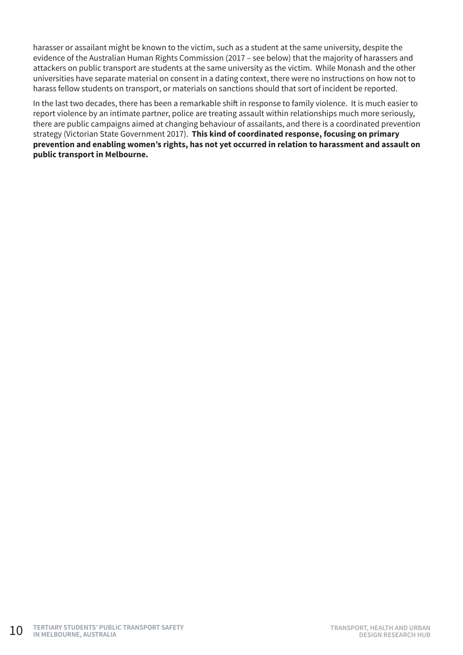harasser or assailant might be known to the victim, such as a student at the same university, despite the evidence of the Australian Human Rights Commission (2017 – see below) that the majority of harassers and attackers on public transport are students at the same university as the victim. While Monash and the other universities have separate material on consent in a dating context, there were no instructions on how not to harass fellow students on transport, or materials on sanctions should that sort of incident be reported.

In the last two decades, there has been a remarkable shift in response to family violence. It is much easier to report violence by an intimate partner, police are treating assault within relationships much more seriously, there are public campaigns aimed at changing behaviour of assailants, and there is a coordinated prevention strategy (Victorian State Government 2017). **This kind of coordinated response, focusing on primary prevention and enabling women's rights, has not yet occurred in relation to harassment and assault on public transport in Melbourne.**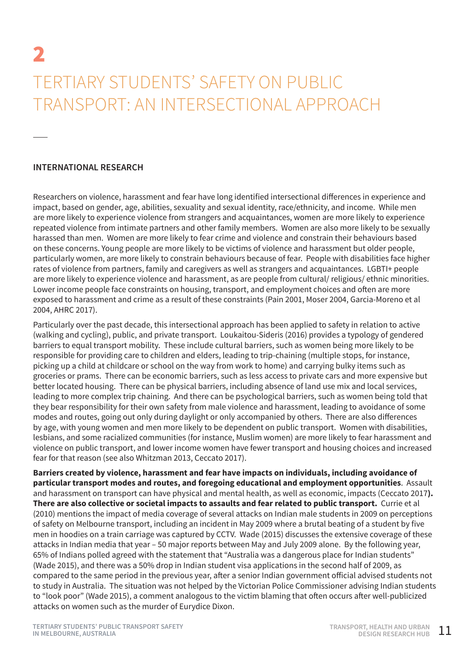## 2 TERTIARY STUDENTS' SAFETY ON PUBLIC TRANSPORT: AN INTERSECTIONAL APPROACH

#### **INTERNATIONAL RESEARCH**

Researchers on violence, harassment and fear have long identified intersectional differences in experience and impact, based on gender, age, abilities, sexuality and sexual identity, race/ethnicity, and income. While men are more likely to experience violence from strangers and acquaintances, women are more likely to experience repeated violence from intimate partners and other family members. Women are also more likely to be sexually harassed than men. Women are more likely to fear crime and violence and constrain their behaviours based on these concerns. Young people are more likely to be victims of violence and harassment but older people, particularly women, are more likely to constrain behaviours because of fear. People with disabilities face higher rates of violence from partners, family and caregivers as well as strangers and acquaintances. LGBTI+ people are more likely to experience violence and harassment, as are people from cultural/ religious/ ethnic minorities. Lower income people face constraints on housing, transport, and employment choices and often are more exposed to harassment and crime as a result of these constraints (Pain 2001, Moser 2004, Garcia-Moreno et al 2004, AHRC 2017).

Particularly over the past decade, this intersectional approach has been applied to safety in relation to active (walking and cycling), public, and private transport. Loukaitou-Sideris (2016) provides a typology of gendered barriers to equal transport mobility. These include cultural barriers, such as women being more likely to be responsible for providing care to children and elders, leading to trip-chaining (multiple stops, for instance, picking up a child at childcare or school on the way from work to home) and carrying bulky items such as groceries or prams. There can be economic barriers, such as less access to private cars and more expensive but better located housing. There can be physical barriers, including absence of land use mix and local services, leading to more complex trip chaining. And there can be psychological barriers, such as women being told that they bear responsibility for their own safety from male violence and harassment, leading to avoidance of some modes and routes, going out only during daylight or only accompanied by others. There are also differences by age, with young women and men more likely to be dependent on public transport. Women with disabilities, lesbians, and some racialized communities (for instance, Muslim women) are more likely to fear harassment and violence on public transport, and lower income women have fewer transport and housing choices and increased fear for that reason (see also Whitzman 2013, Ceccato 2017).

**Barriers created by violence, harassment and fear have impacts on individuals, including avoidance of particular transport modes and routes, and foregoing educational and employment opportunities**. Assault and harassment on transport can have physical and mental health, as well as economic, impacts (Ceccato 2017**). There are also collective or societal impacts to assaults and fear related to public transport.** Currie et al (2010) mentions the impact of media coverage of several attacks on Indian male students in 2009 on perceptions of safety on Melbourne transport, including an incident in May 2009 where a brutal beating of a student by five men in hoodies on a train carriage was captured by CCTV. Wade (2015) discusses the extensive coverage of these attacks in Indian media that year – 50 major reports between May and July 2009 alone. By the following year, 65% of Indians polled agreed with the statement that "Australia was a dangerous place for Indian students" (Wade 2015), and there was a 50% drop in Indian student visa applications in the second half of 2009, as compared to the same period in the previous year, after a senior Indian government official advised students not to study in Australia. The situation was not helped by the Victorian Police Commissioner advising Indian students to "look poor" (Wade 2015), a comment analogous to the victim blaming that often occurs after well-publicized attacks on women such as the murder of Eurydice Dixon.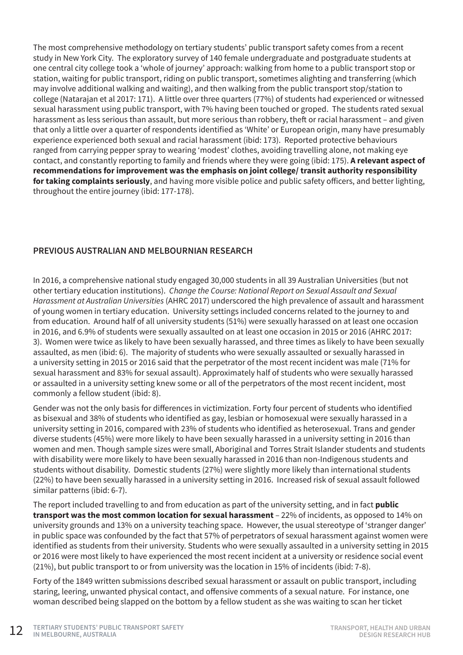The most comprehensive methodology on tertiary students' public transport safety comes from a recent study in New York City. The exploratory survey of 140 female undergraduate and postgraduate students at one central city college took a 'whole of journey' approach: walking from home to a public transport stop or station, waiting for public transport, riding on public transport, sometimes alighting and transferring (which may involve additional walking and waiting), and then walking from the public transport stop/station to college (Natarajan et al 2017: 171). A little over three quarters (77%) of students had experienced or witnessed sexual harassment using public transport, with 7% having been touched or groped. The students rated sexual harassment as less serious than assault, but more serious than robbery, theft or racial harassment – and given that only a little over a quarter of respondents identified as 'White' or European origin, many have presumably experience experienced both sexual and racial harassment (ibid: 173). Reported protective behaviours ranged from carrying pepper spray to wearing 'modest' clothes, avoiding travelling alone, not making eye contact, and constantly reporting to family and friends where they were going (ibid: 175). **A relevant aspect of recommendations for improvement was the emphasis on joint college/ transit authority responsibility for taking complaints seriously**, and having more visible police and public safety officers, and better lighting, throughout the entire journey (ibid: 177-178).

#### **PREVIOUS AUSTRALIAN AND MELBOURNIAN RESEARCH**

In 2016, a comprehensive national study engaged 30,000 students in all 39 Australian Universities (but not other tertiary education institutions). *Change the Course: National Report on Sexual Assault and Sexual Harassment at Australian Universities* (AHRC 2017) underscored the high prevalence of assault and harassment of young women in tertiary education. University settings included concerns related to the journey to and from education. Around half of all university students (51%) were sexually harassed on at least one occasion in 2016, and 6.9% of students were sexually assaulted on at least one occasion in 2015 or 2016 (AHRC 2017: 3). Women were twice as likely to have been sexually harassed, and three times as likely to have been sexually assaulted, as men (ibid: 6). The majority of students who were sexually assaulted or sexually harassed in a university setting in 2015 or 2016 said that the perpetrator of the most recent incident was male (71% for sexual harassment and 83% for sexual assault). Approximately half of students who were sexually harassed or assaulted in a university setting knew some or all of the perpetrators of the most recent incident, most commonly a fellow student (ibid: 8).

Gender was not the only basis for differences in victimization. Forty four percent of students who identified as bisexual and 38% of students who identified as gay, lesbian or homosexual were sexually harassed in a university setting in 2016, compared with 23% of students who identified as heterosexual. Trans and gender diverse students (45%) were more likely to have been sexually harassed in a university setting in 2016 than women and men. Though sample sizes were small, Aboriginal and Torres Strait Islander students and students with disability were more likely to have been sexually harassed in 2016 than non-Indigenous students and students without disability. Domestic students (27%) were slightly more likely than international students (22%) to have been sexually harassed in a university setting in 2016. Increased risk of sexual assault followed similar patterns (ibid: 6-7).

The report included travelling to and from education as part of the university setting, and in fact **public transport was the most common location for sexual harassment** – 22% of incidents, as opposed to 14% on university grounds and 13% on a university teaching space. However, the usual stereotype of 'stranger danger' in public space was confounded by the fact that 57% of perpetrators of sexual harassment against women were identified as students from their university. Students who were sexually assaulted in a university setting in 2015 or 2016 were most likely to have experienced the most recent incident at a university or residence social event (21%), but public transport to or from university was the location in 15% of incidents (ibid: 7-8).

Forty of the 1849 written submissions described sexual harassment or assault on public transport, including staring, leering, unwanted physical contact, and offensive comments of a sexual nature. For instance, one woman described being slapped on the bottom by a fellow student as she was waiting to scan her ticket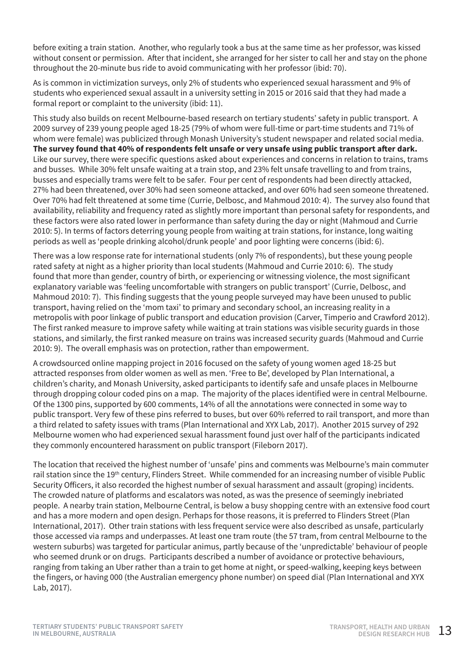before exiting a train station. Another, who regularly took a bus at the same time as her professor, was kissed without consent or permission. After that incident, she arranged for her sister to call her and stay on the phone throughout the 20-minute bus ride to avoid communicating with her professor (ibid: 70).

As is common in victimization surveys, only 2% of students who experienced sexual harassment and 9% of students who experienced sexual assault in a university setting in 2015 or 2016 said that they had made a formal report or complaint to the university (ibid: 11).

This study also builds on recent Melbourne-based research on tertiary students' safety in public transport. A 2009 survey of 239 young people aged 18-25 (79% of whom were full-time or part-time students and 71% of whom were female) was publicized through Monash University's student newspaper and related social media. **The survey found that 40% of respondents felt unsafe or very unsafe using public transport after dark.** Like our survey, there were specific questions asked about experiences and concerns in relation to trains, trams and busses. While 30% felt unsafe waiting at a train stop, and 23% felt unsafe travelling to and from trains, busses and especially trams were felt to be safer. Four per cent of respondents had been directly attacked, 27% had been threatened, over 30% had seen someone attacked, and over 60% had seen someone threatened. Over 70% had felt threatened at some time (Currie, Delbosc, and Mahmoud 2010: 4). The survey also found that availability, reliability and frequency rated as slightly more important than personal safety for respondents, and these factors were also rated lower in performance than safety during the day or night (Mahmoud and Currie 2010: 5). In terms of factors deterring young people from waiting at train stations, for instance, long waiting periods as well as 'people drinking alcohol/drunk people' and poor lighting were concerns (ibid: 6).

There was a low response rate for international students (only 7% of respondents), but these young people rated safety at night as a higher priority than local students (Mahmoud and Currie 2010: 6). The study found that more than gender, country of birth, or experiencing or witnessing violence, the most significant explanatory variable was 'feeling uncomfortable with strangers on public transport' (Currie, Delbosc, and Mahmoud 2010: 7). This finding suggests that the young people surveyed may have been unused to public transport, having relied on the 'mom taxi' to primary and secondary school, an increasing reality in a metropolis with poor linkage of public transport and education provision (Carver, Timperio and Crawford 2012). The first ranked measure to improve safety while waiting at train stations was visible security guards in those stations, and similarly, the first ranked measure on trains was increased security guards (Mahmoud and Currie 2010: 9). The overall emphasis was on protection, rather than empowerment.

A crowdsourced online mapping project in 2016 focused on the safety of young women aged 18-25 but attracted responses from older women as well as men. 'Free to Be', developed by Plan International, a children's charity, and Monash University, asked participants to identify safe and unsafe places in Melbourne through dropping colour coded pins on a map. The majority of the places identified were in central Melbourne. Of the 1300 pins, supported by 600 comments, 14% of all the annotations were connected in some way to public transport. Very few of these pins referred to buses, but over 60% referred to rail transport, and more than a third related to safety issues with trams (Plan International and XYX Lab, 2017). Another 2015 survey of 292 Melbourne women who had experienced sexual harassment found just over half of the participants indicated they commonly encountered harassment on public transport (Fileborn 2017).

The location that received the highest number of 'unsafe' pins and comments was Melbourne's main commuter rail station since the 19th century, Flinders Street. While commended for an increasing number of visible Public Security Officers, it also recorded the highest number of sexual harassment and assault (groping) incidents. The crowded nature of platforms and escalators was noted, as was the presence of seemingly inebriated people. A nearby train station, Melbourne Central, is below a busy shopping centre with an extensive food court and has a more modern and open design. Perhaps for those reasons, it is preferred to Flinders Street (Plan International, 2017). Other train stations with less frequent service were also described as unsafe, particularly those accessed via ramps and underpasses. At least one tram route (the 57 tram, from central Melbourne to the western suburbs) was targeted for particular animus, partly because of the 'unpredictable' behaviour of people who seemed drunk or on drugs. Participants described a number of avoidance or protective behaviours, ranging from taking an Uber rather than a train to get home at night, or speed-walking, keeping keys between the fingers, or having 000 (the Australian emergency phone number) on speed dial (Plan International and XYX Lab, 2017).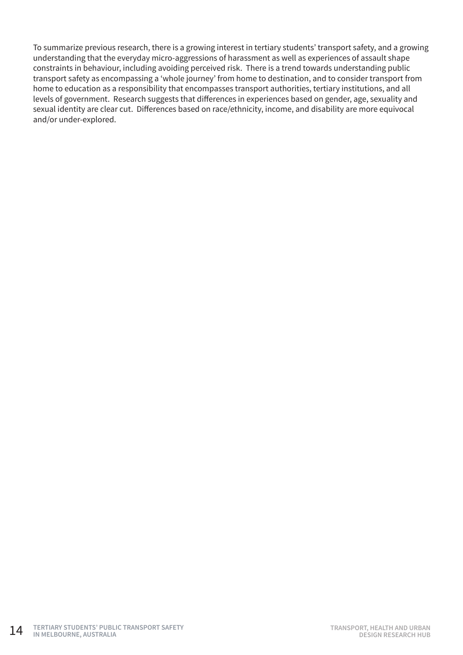To summarize previous research, there is a growing interest in tertiary students' transport safety, and a growing understanding that the everyday micro-aggressions of harassment as well as experiences of assault shape constraints in behaviour, including avoiding perceived risk. There is a trend towards understanding public transport safety as encompassing a 'whole journey' from home to destination, and to consider transport from home to education as a responsibility that encompasses transport authorities, tertiary institutions, and all levels of government. Research suggests that differences in experiences based on gender, age, sexuality and sexual identity are clear cut. Differences based on race/ethnicity, income, and disability are more equivocal and/or under-explored.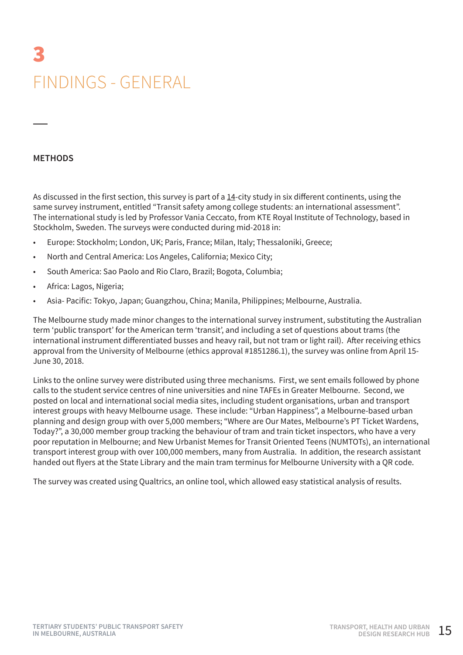# 3 FINDINGS - GENERAL

#### **METHODS**

As discussed in the first section, this survey is part of a 14-city study in six different continents, using the same survey instrument, entitled "Transit safety among college students: an international assessment". The international study is led by Professor Vania Ceccato, from KTE Royal Institute of Technology, based in Stockholm, Sweden. The surveys were conducted during mid-2018 in:

- Europe: Stockholm; London, UK; Paris, France; Milan, Italy; Thessaloniki, Greece;
- North and Central America: Los Angeles, California; Mexico City;
- South America: Sao Paolo and Rio Claro, Brazil; Bogota, Columbia;
- Africa: Lagos, Nigeria;
- Asia- Pacific: Tokyo, Japan; Guangzhou, China; Manila, Philippines; Melbourne, Australia.

The Melbourne study made minor changes to the international survey instrument, substituting the Australian term 'public transport' for the American term 'transit', and including a set of questions about trams (the international instrument differentiated busses and heavy rail, but not tram or light rail). After receiving ethics approval from the University of Melbourne (ethics approval #1851286.1), the survey was online from April 15- June 30, 2018.

Links to the online survey were distributed using three mechanisms. First, we sent emails followed by phone calls to the student service centres of nine universities and nine TAFEs in Greater Melbourne. Second, we posted on local and international social media sites, including student organisations, urban and transport interest groups with heavy Melbourne usage. These include: "Urban Happiness", a Melbourne-based urban planning and design group with over 5,000 members; "Where are Our Mates, Melbourne's PT Ticket Wardens, Today?", a 30,000 member group tracking the behaviour of tram and train ticket inspectors, who have a very poor reputation in Melbourne; and New Urbanist Memes for Transit Oriented Teens (NUMTOTs), an international transport interest group with over 100,000 members, many from Australia. In addition, the research assistant handed out flyers at the State Library and the main tram terminus for Melbourne University with a QR code.

The survey was created using Qualtrics, an online tool, which allowed easy statistical analysis of results.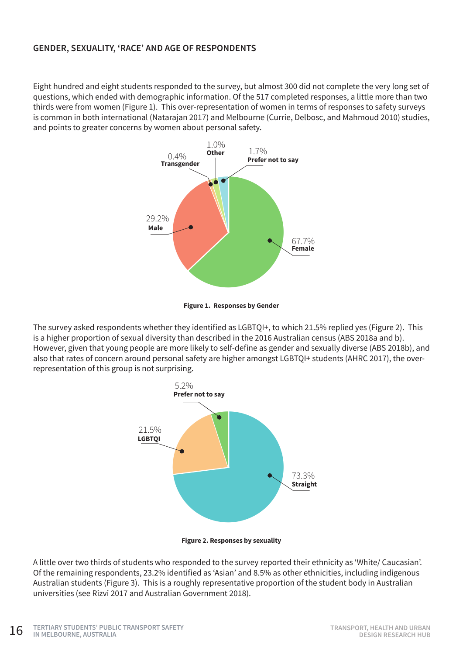#### **GENDER, SEXUALITY, 'RACE' AND AGE OF RESPONDENTS**

Eight hundred and eight students responded to the survey, but almost 300 did not complete the very long set of questions, which ended with demographic information. Of the 517 completed responses, a little more than two thirds were from women (Figure 1). This over-representation of women in terms of responses to safety surveys is common in both international (Natarajan 2017) and Melbourne (Currie, Delbosc, and Mahmoud 2010) studies, and points to greater concerns by women about personal safety.





The survey asked respondents whether they identified as LGBTQI+, to which 21.5% replied yes (Figure 2). This is a higher proportion of sexual diversity than described in the 2016 Australian census (ABS 2018a and b). However, given that young people are more likely to self-define as gender and sexually diverse (ABS 2018b), and also that rates of concern around personal safety are higher amongst LGBTQI+ students (AHRC 2017), the overrepresentation of this group is not surprising.



**Figure 2. Responses by sexuality**

A little over two thirds of students who responded to the survey reported their ethnicity as 'White/ Caucasian'. Of the remaining respondents, 23.2% identified as 'Asian' and 8.5% as other ethnicities, including indigenous Australian students (Figure 3). This is a roughly representative proportion of the student body in Australian universities (see Rizvi 2017 and Australian Government 2018).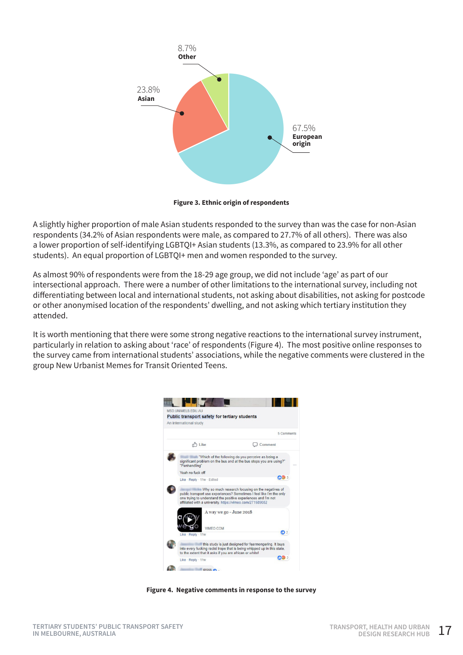

**Figure 3. Ethnic origin of respondents**

A slightly higher proportion of male Asian students responded to the survey than was the case for non-Asian respondents (34.2% of Asian respondents were male, as compared to 27.7% of all others). There was also a lower proportion of self-identifying LGBTQI+ Asian students (13.3%, as compared to 23.9% for all other students). An equal proportion of LGBTQI+ men and women responded to the survey.

As almost 90% of respondents were from the 18-29 age group, we did not include 'age' as part of our intersectional approach. There were a number of other limitations to the international survey, including not differentiating between local and international students, not asking about disabilities, not asking for postcode or other anonymised location of the respondents' dwelling, and not asking which tertiary institution they attended.

It is worth mentioning that there were some strong negative reactions to the international survey instrument, particularly in relation to asking about 'race' of respondents (Figure 4). The most positive online responses to the survey came from international students' associations, while the negative comments were clustered in the group New Urbanist Memes for Transit Oriented Teens.



**Figure 4. Negative comments in response to the survey**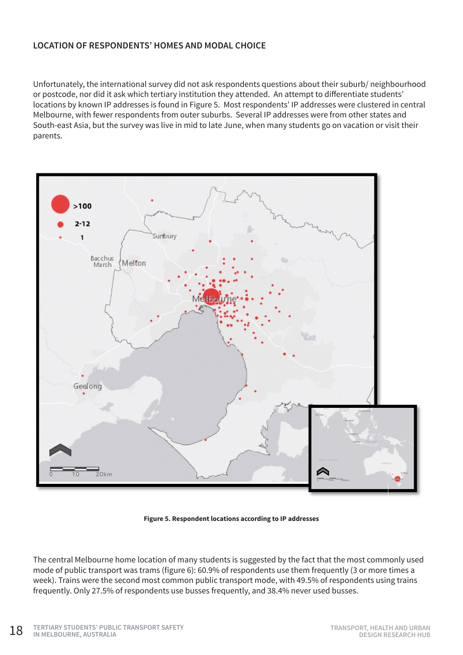#### **LOCATION OF RESPONDENTS' HOMES AND MODAL CHOICE**

Unfortunately, the international survey did not ask respondents questions about their suburb/ neighbourhood or postcode, nor did it ask which tertiary institution they attended. An attempt to differentiate students' locations by known IP addresses is found in Figure 5. Most respondents' IP addresses were clustered in central Melbourne, with fewer respondents from outer suburbs. Several IP addresses were from other states and South-east Asia, but the survey was live in mid to late June, when many students go on vacation or visit their parents.



**Figure 5. Respondent locations according to IP addresses**

The central Melbourne home location of many students is suggested by the fact that the most commonly used mode of public transport was trams (figure 6): 60.9% of respondents use them frequently (3 or more times a week). Trains were the second most common public transport mode, with 49.5% of respondents using trains frequently. Only 27.5% of respondents use busses frequently, and 38.4% never used busses.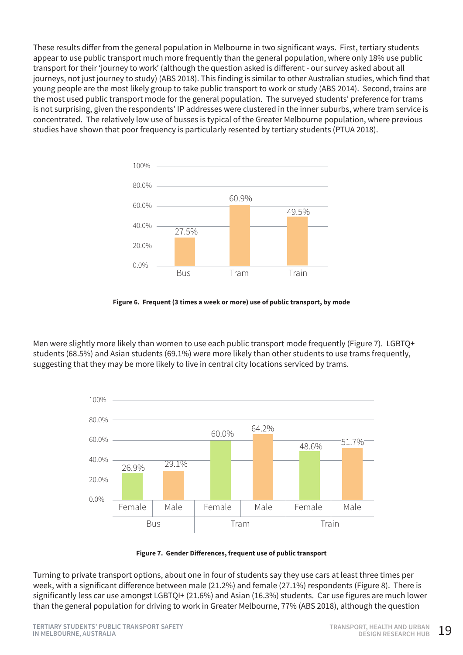These results differ from the general population in Melbourne in two significant ways. First, tertiary students appear to use public transport much more frequently than the general population, where only 18% use public transport for their 'journey to work' (although the question asked is different - our survey asked about all journeys, not just journey to study) (ABS 2018). This finding is similar to other Australian studies, which find that young people are the most likely group to take public transport to work or study (ABS 2014). Second, trains are the most used public transport mode for the general population. The surveyed students' preference for trams is not surprising, given the respondents' IP addresses were clustered in the inner suburbs, where tram service is concentrated. The relatively low use of busses is typical of the Greater Melbourne population, where previous studies have shown that poor frequency is particularly resented by tertiary students (PTUA 2018).



**Figure 6. Frequent (3 times a week or more) use of public transport, by mode**

Men were slightly more likely than women to use each public transport mode frequently (Figure 7). LGBTQ+ students (68.5%) and Asian students (69.1%) were more likely than other students to use trams frequently, suggesting that they may be more likely to live in central city locations serviced by trams.



**Figure 7. Gender Differences, frequent use of public transport** 

Turning to private transport options, about one in four of students say they use cars at least three times per week, with a significant difference between male (21.2%) and female (27.1%) respondents (Figure 8). There is significantly less car use amongst LGBTQI+ (21.6%) and Asian (16.3%) students. Car use figures are much lower than the general population for driving to work in Greater Melbourne, 77% (ABS 2018), although the question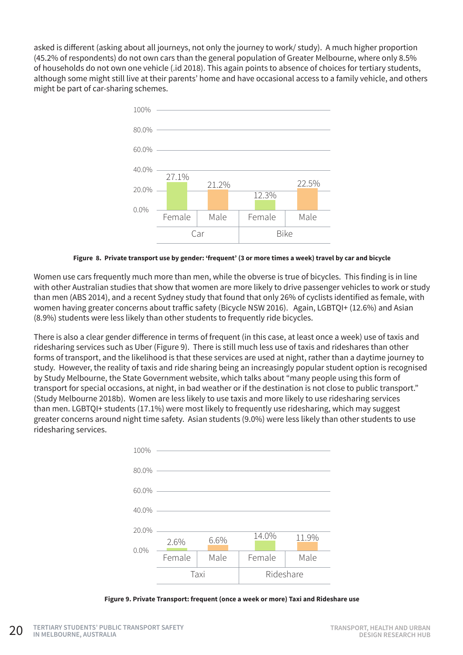asked is different (asking about all journeys, not only the journey to work/ study). A much higher proportion (45.2% of respondents) do not own cars than the general population of Greater Melbourne, where only 8.5% of households do not own one vehicle (.id 2018). This again points to absence of choices for tertiary students, although some might still live at their parents' home and have occasional access to a family vehicle, and others might be part of car-sharing schemes.



**Figure 8. Private transport use by gender: 'frequent' (3 or more times a week) travel by car and bicycle**

Women use cars frequently much more than men, while the obverse is true of bicycles. This finding is in line with other Australian studies that show that women are more likely to drive passenger vehicles to work or study than men (ABS 2014), and a recent Sydney study that found that only 26% of cyclists identified as female, with women having greater concerns about traffic safety (Bicycle NSW 2016). Again, LGBTQI+ (12.6%) and Asian (8.9%) students were less likely than other students to frequently ride bicycles.

There is also a clear gender difference in terms of frequent (in this case, at least once a week) use of taxis and ridesharing services such as Uber (Figure 9). There is still much less use of taxis and rideshares than other forms of transport, and the likelihood is that these services are used at night, rather than a daytime journey to study. However, the reality of taxis and ride sharing being an increasingly popular student option is recognised by Study Melbourne, the State Government website, which talks about "many people using this form of transport for special occasions, at night, in bad weather or if the destination is not close to public transport." (Study Melbourne 2018b). Women are less likely to use taxis and more likely to use ridesharing services than men. LGBTQI+ students (17.1%) were most likely to frequently use ridesharing, which may suggest greater concerns around night time safety. Asian students (9.0%) were less likely than other students to use ridesharing services.



**Figure 9. Private Transport: frequent (once a week or more) Taxi and Rideshare use**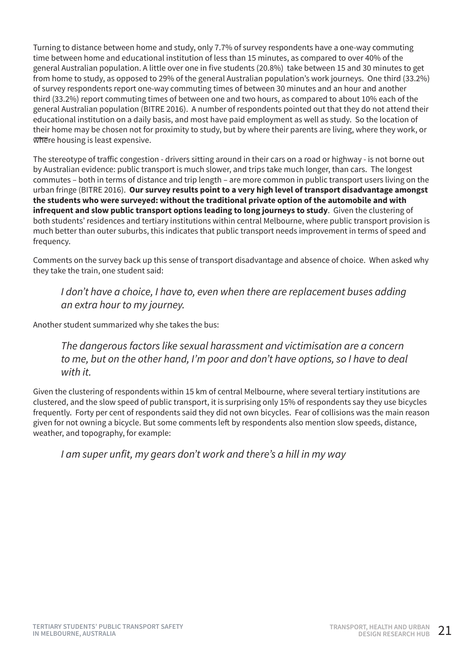Turning to distance between home and study, only 7.7% of survey respondents have a one-way commuting time between home and educational institution of less than 15 minutes, as compared to over 40% of the general Australian population. A little over one in five students (20.8%) take between 15 and 30 minutes to get from home to study, as opposed to 29% of the general Australian population's work journeys. One third (33.2%) of survey respondents report one-way commuting times of between 30 minutes and an hour and another third (33.2%) report commuting times of between one and two hours, as compared to about 10% each of the general Australian population (BITRE 2016). A number of respondents pointed out that they do not attend their educational institution on a daily basis, and most have paid employment as well as study. So the location of their home may be chosen not for proximity to study, but by where their parents are living, where they work, or where housing is least expensive.

The stereotype of traffic congestion - drivers sitting around in their cars on a road or highway - is not borne out by Australian evidence: public transport is much slower, and trips take much longer, than cars. The longest commutes – both in terms of distance and trip length – are more common in public transport users living on the urban fringe (BITRE 2016). **Our survey results point to a very high level of transport disadvantage amongst the students who were surveyed: without the traditional private option of the automobile and with infrequent and slow public transport options leading to long journeys to study**. Given the clustering of both students' residences and tertiary institutions within central Melbourne, where public transport provision is much better than outer suburbs, this indicates that public transport needs improvement in terms of speed and frequency.

Comments on the survey back up this sense of transport disadvantage and absence of choice. When asked why they take the train, one student said:

#### *I don't have a choice, I have to, even when there are replacement buses adding an extra hour to my journey.*

Another student summarized why she takes the bus:

*The dangerous factors like sexual harassment and victimisation are a concern to me, but on the other hand, I'm poor and don't have options, so I have to deal with it.*

Given the clustering of respondents within 15 km of central Melbourne, where several tertiary institutions are clustered, and the slow speed of public transport, it is surprising only 15% of respondents say they use bicycles frequently. Forty per cent of respondents said they did not own bicycles. Fear of collisions was the main reason given for not owning a bicycle. But some comments left by respondents also mention slow speeds, distance, weather, and topography, for example:

I am super unfit, my gears don't work and there's a hill in my way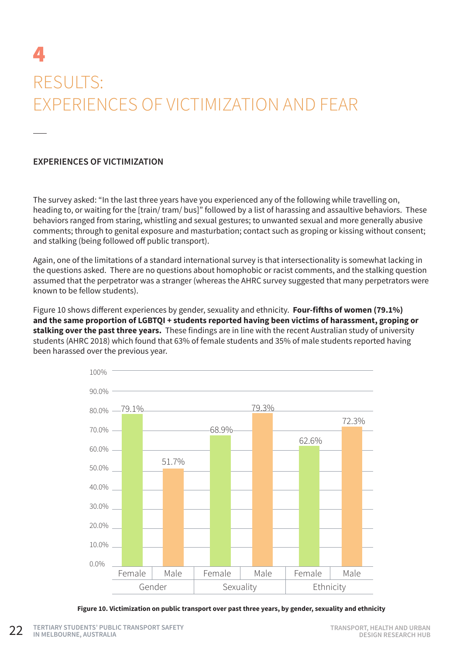## 4 RESULTS: EXPERIENCES OF VICTIMIZATION AND FEAR

#### **EXPERIENCES OF VICTIMIZATION**

The survey asked: "In the last three years have you experienced any of the following while travelling on, heading to, or waiting for the [train/ tram/ bus]" followed by a list of harassing and assaultive behaviors. These behaviors ranged from staring, whistling and sexual gestures; to unwanted sexual and more generally abusive comments; through to genital exposure and masturbation; contact such as groping or kissing without consent; and stalking (being followed off public transport).

Again, one of the limitations of a standard international survey is that intersectionality is somewhat lacking in the questions asked. There are no questions about homophobic or racist comments, and the stalking question assumed that the perpetrator was a stranger (whereas the AHRC survey suggested that many perpetrators were known to be fellow students).

Figure 10 shows different experiences by gender, sexuality and ethnicity. **Four-fifths of women (79.1%) and the same proportion of LGBTQI + students reported having been victims of harassment, groping or stalking over the past three years.** These findings are in line with the recent Australian study of university students (AHRC 2018) which found that 63% of female students and 35% of male students reported having been harassed over the previous year.



**Figure 10. Victimization on public transport over past three years, by gender, sexuality and ethnicity**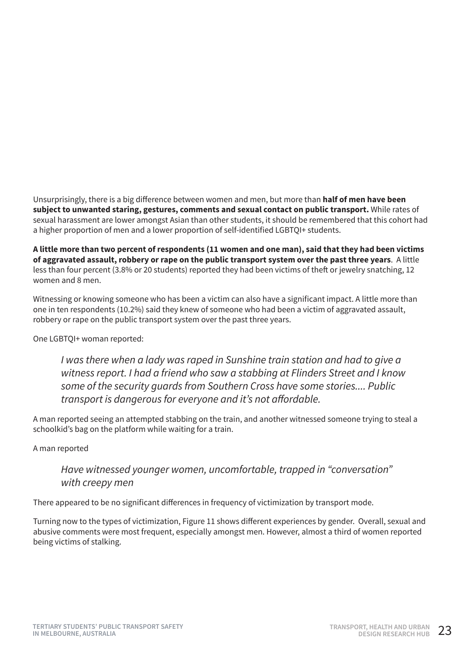Unsurprisingly, there is a big difference between women and men, but more than **half of men have been subject to unwanted staring, gestures, comments and sexual contact on public transport.** While rates of sexual harassment are lower amongst Asian than other students, it should be remembered that this cohort had a higher proportion of men and a lower proportion of self-identified LGBTQI+ students.

**A little more than two percent of respondents (11 women and one man), said that they had been victims of aggravated assault, robbery or rape on the public transport system over the past three years**. A little less than four percent (3.8% or 20 students) reported they had been victims of theft or jewelry snatching, 12 women and 8 men.

Witnessing or knowing someone who has been a victim can also have a significant impact. A little more than one in ten respondents (10.2%) said they knew of someone who had been a victim of aggravated assault, robbery or rape on the public transport system over the past three years.

One LGBTQI+ woman reported:

*I* was there when a lady was raped in Sunshine train station and had to give a *witness report. I had a friend who saw a stabbing at Flinders Street and I know some of the security guards from Southern Cross have some stories.... Public*  transport is dangerous for everyone and it's not affordable.

A man reported seeing an attempted stabbing on the train, and another witnessed someone trying to steal a schoolkid's bag on the platform while waiting for a train.

#### A man reported

#### *Have witnessed younger women, uncomfortable, trapped in "conversation" with creepy men*

There appeared to be no significant differences in frequency of victimization by transport mode.

Turning now to the types of victimization, Figure 11 shows different experiences by gender. Overall, sexual and abusive comments were most frequent, especially amongst men. However, almost a third of women reported being victims of stalking.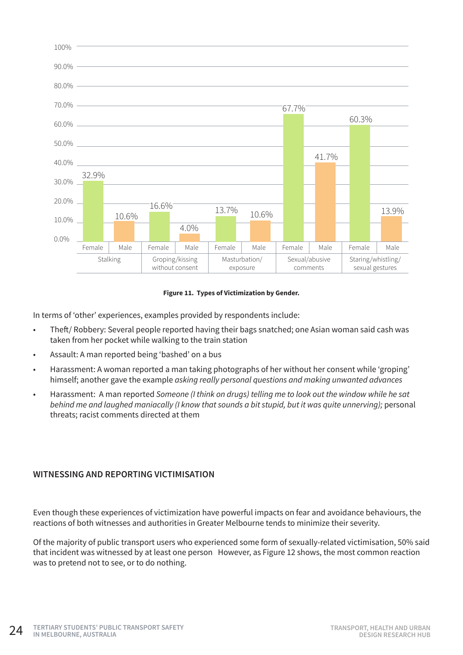

#### **Figure 11. Types of Victimization by Gender.**

In terms of 'other' experiences, examples provided by respondents include:

- Theft/ Robbery: Several people reported having their bags snatched; one Asian woman said cash was taken from her pocket while walking to the train station
- Assault: A man reported being 'bashed' on a bus
- Harassment: A woman reported a man taking photographs of her without her consent while 'groping' himself; another gave the example *asking really personal questions and making unwanted advances*
- Harassment: A man reported *Someone (I think on drugs) telling me to look out the window while he sat behind me and laughed maniacally (I know that sounds a bit stupid, but it was quite unnerving);* personal threats; racist comments directed at them

#### **WITNESSING AND REPORTING VICTIMISATION**

Even though these experiences of victimization have powerful impacts on fear and avoidance behaviours, the reactions of both witnesses and authorities in Greater Melbourne tends to minimize their severity.

Of the majority of public transport users who experienced some form of sexually-related victimisation, 50% said that incident was witnessed by at least one person However, as Figure 12 shows, the most common reaction was to pretend not to see, or to do nothing.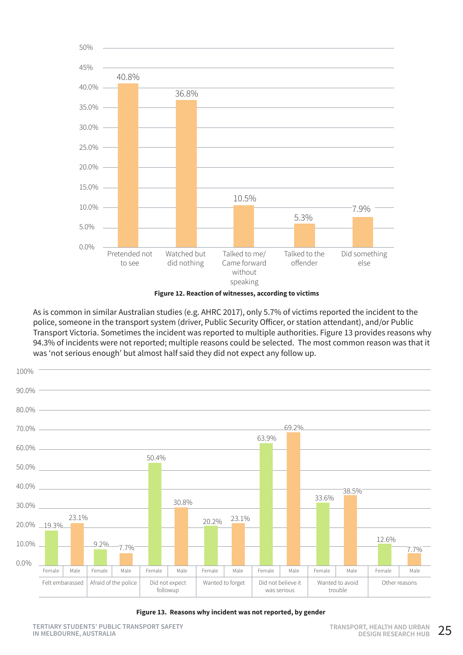



As is common in similar Australian studies (e.g. AHRC 2017), only 5.7% of victims reported the incident to the police, someone in the transport system (driver, Public Security Officer, or station attendant), and/or Public Transport Victoria. Sometimes the incident was reported to multiple authorities. Figure 13 provides reasons why 94.3% of incidents were not reported; multiple reasons could be selected. The most common reason was that it was 'not serious enough' but almost half said they did not expect any follow up.



**Figure 13. Reasons why incident was not reported, by gender**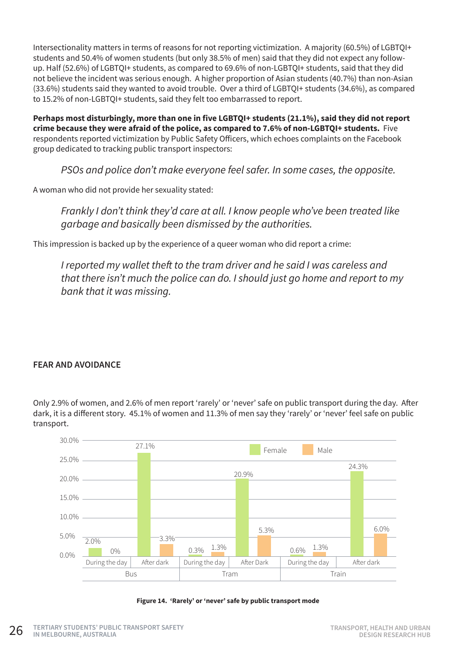Intersectionality matters in terms of reasons for not reporting victimization. A majority (60.5%) of LGBTQI+ students and 50.4% of women students (but only 38.5% of men) said that they did not expect any followup. Half (52.6%) of LGBTQI+ students, as compared to 69.6% of non-LGBTQI+ students, said that they did not believe the incident was serious enough. A higher proportion of Asian students (40.7%) than non-Asian (33.6%) students said they wanted to avoid trouble. Over a third of LGBTQI+ students (34.6%), as compared to 15.2% of non-LGBTQI+ students, said they felt too embarrassed to report.

**Perhaps most disturbingly, more than one in five LGBTQI+ students (21.1%), said they did not report crime because they were afraid of the police, as compared to 7.6% of non-LGBTQI+ students.** Five respondents reported victimization by Public Safety Officers, which echoes complaints on the Facebook group dedicated to tracking public transport inspectors:

*PSOs and police don't make everyone feel safer. In some cases, the opposite.*

A woman who did not provide her sexuality stated:

*Frankly I don't think they'd care at all. I know people who've been treated like garbage and basically been dismissed by the authorities.*

This impression is backed up by the experience of a queer woman who did report a crime:

I reported my wallet theft to the tram driver and he said I was careless and *that there isn't much the police can do. I should just go home and report to my bank that it was missing.* 

#### **FEAR AND AVOIDANCE**

Only 2.9% of women, and 2.6% of men report 'rarely' or 'never' safe on public transport during the day. After dark, it is a different story. 45.1% of women and 11.3% of men say they 'rarely' or 'never' feel safe on public transport.



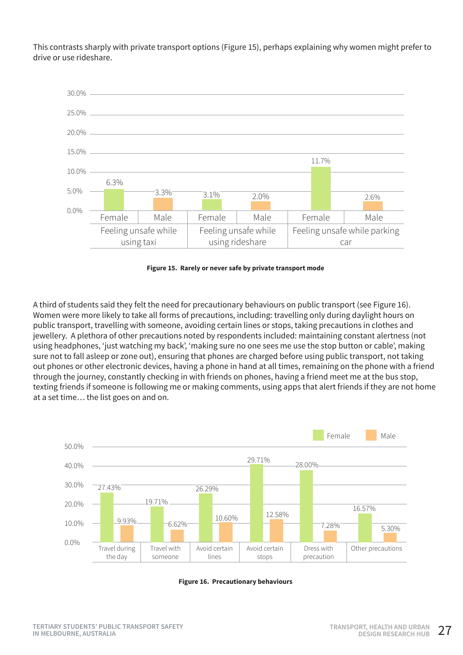This contrasts sharply with private transport options (Figure 15), perhaps explaining why women might prefer to drive or use rideshare.



**Figure 15. Rarely or never safe by private transport mode**

A third of students said they felt the need for precautionary behaviours on public transport (see Figure 16). Women were more likely to take all forms of precautions, including: travelling only during daylight hours on public transport, travelling with someone, avoiding certain lines or stops, taking precautions in clothes and jewellery. A plethora of other precautions noted by respondents included: maintaining constant alertness (not using headphones, 'just watching my back', 'making sure no one sees me use the stop button or cable', making sure not to fall asleep or zone out), ensuring that phones are charged before using public transport, not taking out phones or other electronic devices, having a phone in hand at all times, remaining on the phone with a friend through the journey, constantly checking in with friends on phones, having a friend meet me at the bus stop, texting friends if someone is following me or making comments, using apps that alert friends if they are not home at a set time… the list goes on and on.



**Figure 16. Precautionary behaviours**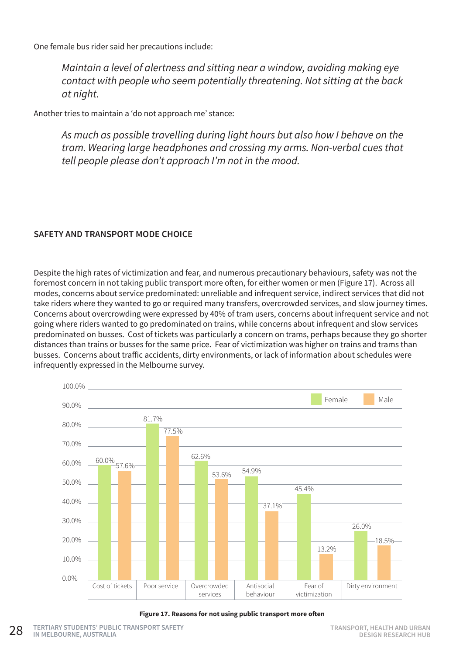One female bus rider said her precautions include:

*Maintain a level of alertness and sitting near a window, avoiding making eye contact with people who seem potentially threatening. Not sitting at the back at night.*

Another tries to maintain a 'do not approach me' stance:

*As much as possible travelling during light hours but also how I behave on the tram. Wearing large headphones and crossing my arms. Non-verbal cues that tell people please don't approach I'm not in the mood.*

#### **SAFETY AND TRANSPORT MODE CHOICE**

Despite the high rates of victimization and fear, and numerous precautionary behaviours, safety was not the foremost concern in not taking public transport more often, for either women or men (Figure 17). Across all modes, concerns about service predominated: unreliable and infrequent service, indirect services that did not take riders where they wanted to go or required many transfers, overcrowded services, and slow journey times. Concerns about overcrowding were expressed by 40% of tram users, concerns about infrequent service and not going where riders wanted to go predominated on trains, while concerns about infrequent and slow services predominated on busses. Cost of tickets was particularly a concern on trams, perhaps because they go shorter distances than trains or busses for the same price. Fear of victimization was higher on trains and trams than busses. Concerns about traffic accidents, dirty environments, or lack of information about schedules were infrequently expressed in the Melbourne survey.



**Figure 17. Reasons for not using public transport more often**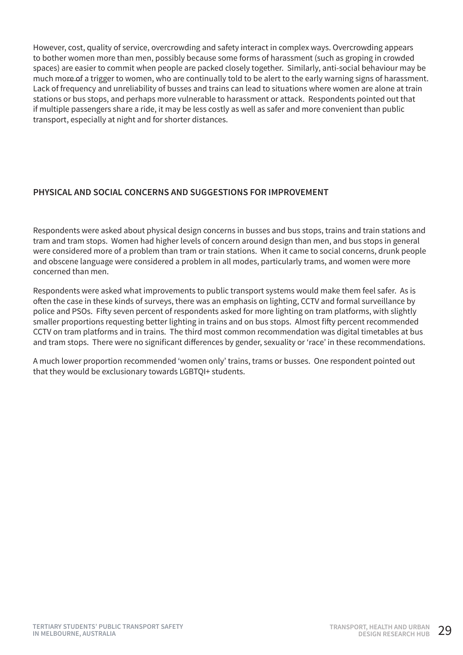However, cost, quality of service, overcrowding and safety interact in complex ways. Overcrowding appears to bother women more than men, possibly because some forms of harassment (such as groping in crowded spaces) are easier to commit when people are packed closely together. Similarly, anti-social behaviour may be much more of a trigger to women, who are continually told to be alert to the early warning signs of harassment. Lack of frequency and unreliability of busses and trains can lead to situations where women are alone at train stations or bus stops, and perhaps more vulnerable to harassment or attack. Respondents pointed out that if multiple passengers share a ride, it may be less costly as well as safer and more convenient than public transport, especially at night and for shorter distances.

#### **PHYSICAL AND SOCIAL CONCERNS AND SUGGESTIONS FOR IMPROVEMENT**

Respondents were asked about physical design concerns in busses and bus stops, trains and train stations and tram and tram stops. Women had higher levels of concern around design than men, and bus stops in general were considered more of a problem than tram or train stations. When it came to social concerns, drunk people and obscene language were considered a problem in all modes, particularly trams, and women were more concerned than men.

Respondents were asked what improvements to public transport systems would make them feel safer. As is often the case in these kinds of surveys, there was an emphasis on lighting, CCTV and formal surveillance by police and PSOs. Fifty seven percent of respondents asked for more lighting on tram platforms, with slightly smaller proportions requesting better lighting in trains and on bus stops. Almost fifty percent recommended CCTV on tram platforms and in trains. The third most common recommendation was digital timetables at bus and tram stops. There were no significant differences by gender, sexuality or 'race' in these recommendations.

A much lower proportion recommended 'women only' trains, trams or busses. One respondent pointed out that they would be exclusionary towards LGBTQI+ students.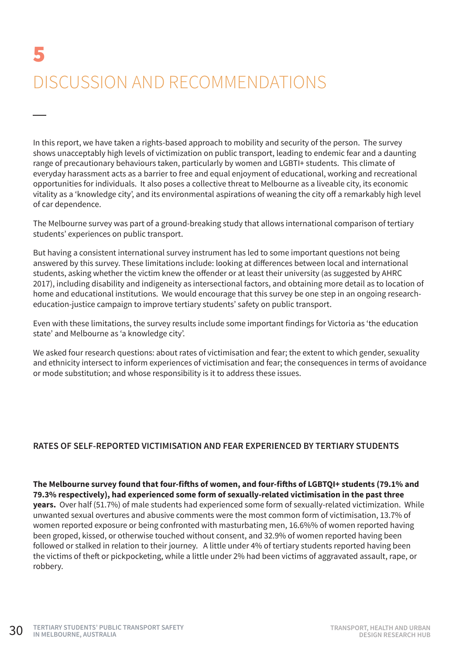# 5 DISCUSSION AND RECOMMENDATIONS

In this report, we have taken a rights-based approach to mobility and security of the person. The survey shows unacceptably high levels of victimization on public transport, leading to endemic fear and a daunting range of precautionary behaviours taken, particularly by women and LGBTI+ students. This climate of everyday harassment acts as a barrier to free and equal enjoyment of educational, working and recreational opportunities for individuals. It also poses a collective threat to Melbourne as a liveable city, its economic vitality as a 'knowledge city', and its environmental aspirations of weaning the city off a remarkably high level of car dependence.

The Melbourne survey was part of a ground-breaking study that allows international comparison of tertiary students' experiences on public transport.

But having a consistent international survey instrument has led to some important questions not being answered by this survey. These limitations include: looking at differences between local and international students, asking whether the victim knew the offender or at least their university (as suggested by AHRC 2017), including disability and indigeneity as intersectional factors, and obtaining more detail as to location of home and educational institutions. We would encourage that this survey be one step in an ongoing researcheducation-justice campaign to improve tertiary students' safety on public transport.

Even with these limitations, the survey results include some important findings for Victoria as 'the education state' and Melbourne as 'a knowledge city'.

We asked four research questions: about rates of victimisation and fear; the extent to which gender, sexuality and ethnicity intersect to inform experiences of victimisation and fear; the consequences in terms of avoidance or mode substitution; and whose responsibility is it to address these issues.

#### **RATES OF SELF-REPORTED VICTIMISATION AND FEAR EXPERIENCED BY TERTIARY STUDENTS**

**The Melbourne survey found that four-fifths of women, and four-fifths of LGBTQI+ students (79.1% and 79.3% respectively), had experienced some form of sexually-related victimisation in the past three years.** Over half (51.7%) of male students had experienced some form of sexually-related victimization. While unwanted sexual overtures and abusive comments were the most common form of victimisation, 13.7% of women reported exposure or being confronted with masturbating men, 16.6%% of women reported having been groped, kissed, or otherwise touched without consent, and 32.9% of women reported having been followed or stalked in relation to their journey. A little under 4% of tertiary students reported having been the victims of theft or pickpocketing, while a little under 2% had been victims of aggravated assault, rape, or robbery.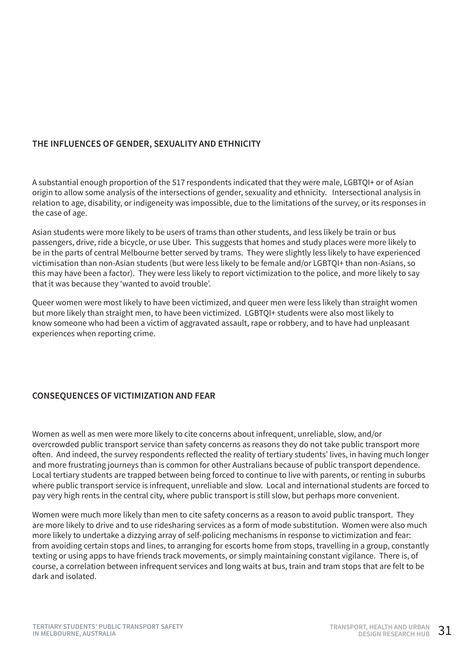#### **THE INFLUENCES OF GENDER, SEXUALITY AND ETHNICITY**

A substantial enough proportion of the 517 respondents indicated that they were male, LGBTQI+ or of Asian origin to allow some analysis of the intersections of gender, sexuality and ethnicity. Intersectional analysis in relation to age, disability, or indigeneity was impossible, due to the limitations of the survey, or its responses in the case of age.

Asian students were more likely to be users of trams than other students, and less likely be train or bus passengers, drive, ride a bicycle, or use Uber. This suggests that homes and study places were more likely to be in the parts of central Melbourne better served by trams. They were slightly less likely to have experienced victimisation than non-Asian students (but were less likely to be female and/or LGBTQI+ than non-Asians, so this may have been a factor). They were less likely to report victimization to the police, and more likely to say that it was because they 'wanted to avoid trouble'.

Queer women were most likely to have been victimized, and queer men were less likely than straight women but more likely than straight men, to have been victimized. LGBTQI+ students were also most likely to know someone who had been a victim of aggravated assault, rape or robbery, and to have had unpleasant experiences when reporting crime.

#### **CONSEQUENCES OF VICTIMIZATION AND FEAR**

Women as well as men were more likely to cite concerns about infrequent, unreliable, slow, and/or overcrowded public transport service than safety concerns as reasons they do not take public transport more often. And indeed, the survey respondents reflected the reality of tertiary students' lives, in having much longer and more frustrating journeys than is common for other Australians because of public transport dependence. Local tertiary students are trapped between being forced to continue to live with parents, or renting in suburbs where public transport service is infrequent, unreliable and slow. Local and international students are forced to pay very high rents in the central city, where public transport is still slow, but perhaps more convenient.

Women were much more likely than men to cite safety concerns as a reason to avoid public transport. They are more likely to drive and to use ridesharing services as a form of mode substitution. Women were also much more likely to undertake a dizzying array of self-policing mechanisms in response to victimization and fear: from avoiding certain stops and lines, to arranging for escorts home from stops, travelling in a group, constantly texting or using apps to have friends track movements, or simply maintaining constant vigilance. There is, of course, a correlation between infrequent services and long waits at bus, train and tram stops that are felt to be dark and isolated.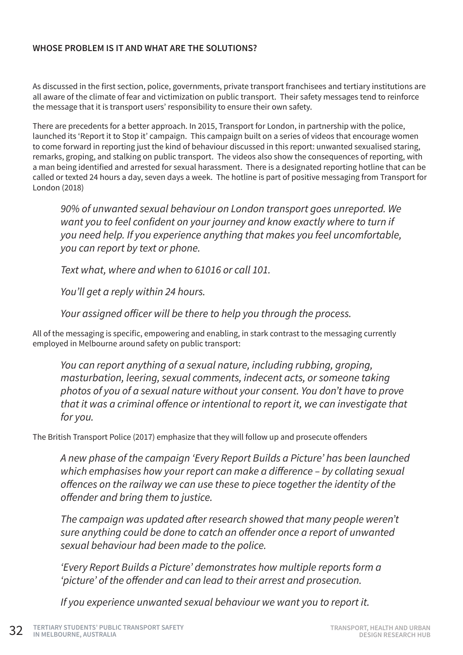#### **WHOSE PROBLEM IS IT AND WHAT ARE THE SOLUTIONS?**

As discussed in the first section, police, governments, private transport franchisees and tertiary institutions are all aware of the climate of fear and victimization on public transport. Their safety messages tend to reinforce the message that it is transport users' responsibility to ensure their own safety.

There are precedents for a better approach. In 2015, Transport for London, in partnership with the police, launched its 'Report it to Stop it' campaign. This campaign built on a series of videos that encourage women to come forward in reporting just the kind of behaviour discussed in this report: unwanted sexualised staring, remarks, groping, and stalking on public transport. The videos also show the consequences of reporting, with a man being identified and arrested for sexual harassment. There is a designated reporting hotline that can be called or texted 24 hours a day, seven days a week. The hotline is part of positive messaging from Transport for London (2018)

*90% of unwanted sexual behaviour on London transport goes unreported. We*  want you to feel confident on your journey and know exactly where to turn if *you need help. If you experience anything that makes you feel uncomfortable, you can report by text or phone.*

*Text what, where and when to 61016 or call 101.*

*You'll get a reply within 24 hours.*

Your assigned officer will be there to help you through the process.

All of the messaging is specific, empowering and enabling, in stark contrast to the messaging currently employed in Melbourne around safety on public transport:

*You can report anything of a sexual nature, including rubbing, groping, masturbation, leering, sexual comments, indecent acts, or someone taking photos of you of a sexual nature without your consent. You don't have to prove*  that it was a criminal offence or intentional to report it, we can investigate that *for you.*

The British Transport Police (2017) emphasize that they will follow up and prosecute offenders

*A new phase of the campaign 'Every Report Builds a Picture' has been launched*  which emphasises how your report can make a difference – by collating sexual offences on the railway we can use these to piece together the identity of the offender and bring them to justice.

The campaign was updated after research showed that many people weren't sure anything could be done to catch an offender once a report of unwanted *sexual behaviour had been made to the police.*

*'Every Report Builds a Picture' demonstrates how multiple reports form a*  'picture' of the offender and can lead to their arrest and prosecution.

*If you experience unwanted sexual behaviour we want you to report it.*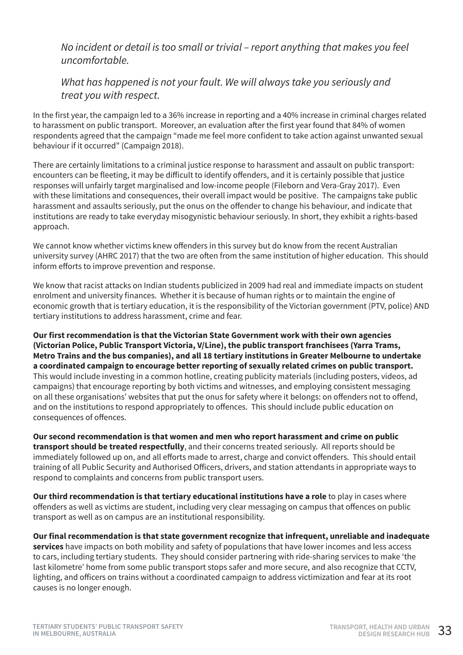No incident or detail is too small or trivial – report anything that makes you feel *uncomfortable.*

#### *What has happened is not your fault. We will always take you seriously and treat you with respect.*

In the first year, the campaign led to a 36% increase in reporting and a 40% increase in criminal charges related to harassment on public transport. Moreover, an evaluation after the first year found that 84% of women respondents agreed that the campaign "made me feel more confident to take action against unwanted sexual behaviour if it occurred" (Campaign 2018).

There are certainly limitations to a criminal justice response to harassment and assault on public transport: encounters can be fleeting, it may be difficult to identify offenders, and it is certainly possible that justice responses will unfairly target marginalised and low-income people (Fileborn and Vera-Gray 2017). Even with these limitations and consequences, their overall impact would be positive. The campaigns take public harassment and assaults seriously, put the onus on the offender to change his behaviour, and indicate that institutions are ready to take everyday misogynistic behaviour seriously. In short, they exhibit a rights-based approach.

We cannot know whether victims knew offenders in this survey but do know from the recent Australian university survey (AHRC 2017) that the two are often from the same institution of higher education. This should inform efforts to improve prevention and response.

We know that racist attacks on Indian students publicized in 2009 had real and immediate impacts on student enrolment and university finances. Whether it is because of human rights or to maintain the engine of economic growth that is tertiary education, it is the responsibility of the Victorian government (PTV, police) AND tertiary institutions to address harassment, crime and fear.

**Our first recommendation is that the Victorian State Government work with their own agencies (Victorian Police, Public Transport Victoria, V/Line), the public transport franchisees (Yarra Trams, Metro Trains and the bus companies), and all 18 tertiary institutions in Greater Melbourne to undertake a coordinated campaign to encourage better reporting of sexually related crimes on public transport.** This would include investing in a common hotline, creating publicity materials (including posters, videos, ad campaigns) that encourage reporting by both victims and witnesses, and employing consistent messaging on all these organisations' websites that put the onus for safety where it belongs: on offenders not to offend, and on the institutions to respond appropriately to offences. This should include public education on consequences of offences.

**Our second recommendation is that women and men who report harassment and crime on public transport should be treated respectfully**, and their concerns treated seriously. All reports should be immediately followed up on, and all efforts made to arrest, charge and convict offenders. This should entail training of all Public Security and Authorised Officers, drivers, and station attendants in appropriate ways to respond to complaints and concerns from public transport users.

**Our third recommendation is that tertiary educational institutions have a role** to play in cases where offenders as well as victims are student, including very clear messaging on campus that offences on public transport as well as on campus are an institutional responsibility.

**Our final recommendation is that state government recognize that infrequent, unreliable and inadequate services** have impacts on both mobility and safety of populations that have lower incomes and less access to cars, including tertiary students. They should consider partnering with ride-sharing services to make 'the last kilometre' home from some public transport stops safer and more secure, and also recognize that CCTV, lighting, and officers on trains without a coordinated campaign to address victimization and fear at its root causes is no longer enough.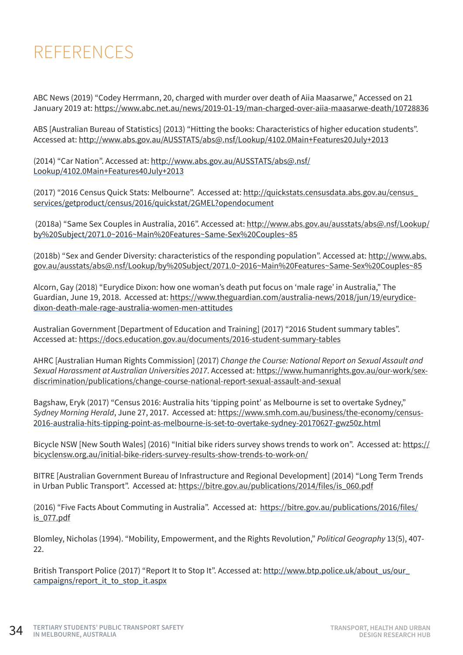### REFERENCES

ABC News (2019) "Codey Herrmann, 20, charged with murder over death of Aiia Maasarwe," Accessed on 21 January 2019 at:<https://www.abc.net.au/news/2019-01-19/man-charged-over-aiia-maasarwe-death/10728836>

ABS [Australian Bureau of Statistics] (2013) "Hitting the books: Characteristics of higher education students". Accessed at: <http://www.abs.gov.au/AUSSTATS/abs@.nsf/Lookup/4102.0Main+Features20July+2013>

(2014) "Car Nation". Accessed at: [http://www.abs.gov.au/AUSSTATS/abs@.nsf/](http://www.abs.gov.au/AUSSTATS/abs@.nsf/Lookup/4102.0Main+Features40July+2013) [Lookup/4102.0Main+Features40July+2013](http://www.abs.gov.au/AUSSTATS/abs@.nsf/Lookup/4102.0Main+Features40July+2013)

(2017) "2016 Census Quick Stats: Melbourne". Accessed at: [http://quickstats.censusdata.abs.gov.au/census\\_](http://quickstats.censusdata.abs.gov.au/census_services/getproduct/census/2016/quickstat/2GMEL?opendocument) [services/getproduct/census/2016/quickstat/2GMEL?opendocument](http://quickstats.censusdata.abs.gov.au/census_services/getproduct/census/2016/quickstat/2GMEL?opendocument)

 (2018a) "Same Sex Couples in Australia, 2016". Accessed at: [http://www.abs.gov.au/ausstats/abs@.nsf/Lookup/](http://www.abs.gov.au/ausstats/abs@.nsf/Lookup/by%20Subject/2071.0~2016~Main%20Features~Same-Sex%20Couples~85) [by%20Subject/2071.0~2016~Main%20Features~Same-Sex%20Couples~85](http://www.abs.gov.au/ausstats/abs@.nsf/Lookup/by%20Subject/2071.0~2016~Main%20Features~Same-Sex%20Couples~85)

(2018b) "Sex and Gender Diversity: characteristics of the responding population". Accessed at: [http://www.abs.](http://www.abs.gov.au/ausstats/abs@.nsf/Lookup/by%20Subject/2071.0~2016~Main%20Features~Same-Sex%20Couples~85) [gov.au/ausstats/abs@.nsf/Lookup/by%20Subject/2071.0~2016~Main%20Features~Same-Sex%20Couples~85](http://www.abs.gov.au/ausstats/abs@.nsf/Lookup/by%20Subject/2071.0~2016~Main%20Features~Same-Sex%20Couples~85)

Alcorn, Gay (2018) "Eurydice Dixon: how one woman's death put focus on 'male rage' in Australia," The Guardian, June 19, 2018. Accessed at: [https://www.theguardian.com/australia-news/2018/jun/19/eurydice](https://www.theguardian.com/australia-news/2018/jun/19/eurydice-dixon-death-male-rage-australia-women-men-attitudes)[dixon-death-male-rage-australia-women-men-attitudes](https://www.theguardian.com/australia-news/2018/jun/19/eurydice-dixon-death-male-rage-australia-women-men-attitudes)

Australian Government [Department of Education and Training] (2017) "2016 Student summary tables". Accessed at:<https://docs.education.gov.au/documents/2016-student-summary-tables>

AHRC [Australian Human Rights Commission] (2017) *Change the Course: National Report on Sexual Assault and Sexual Harassment at Australian Universities 2017*. Accessed at: [https://www.humanrights.gov.au/our-work/sex](https://www.humanrights.gov.au/our-work/sex-discrimination/publications/change-course-national-report-sexual-assault-and-sexual)[discrimination/publications/change-course-national-report-sexual-assault-and-sexual](https://www.humanrights.gov.au/our-work/sex-discrimination/publications/change-course-national-report-sexual-assault-and-sexual)

Bagshaw, Eryk (2017) "Census 2016: Australia hits 'tipping point' as Melbourne is set to overtake Sydney," *Sydney Morning Herald*, June 27, 2017. Accessed at: [https://www.smh.com.au/business/the-economy/census-](https://www.smh.com.au/business/the-economy/census-2016-australia-hits-tipping-point-as-melbourne-is-set-to-overtake-sydney-20170627-gwz50z.html)[2016-australia-hits-tipping-point-as-melbourne-is-set-to-overtake-sydney-20170627-gwz50z.html](https://www.smh.com.au/business/the-economy/census-2016-australia-hits-tipping-point-as-melbourne-is-set-to-overtake-sydney-20170627-gwz50z.html)

Bicycle NSW [New South Wales] (2016) "Initial bike riders survey shows trends to work on". Accessed at: [https://](https://bicyclensw.org.au/initial-bike-riders-survey-results-show-trends-to-work-on/) [bicyclensw.org.au/initial-bike-riders-survey-results-show-trends-to-work-on/](https://bicyclensw.org.au/initial-bike-riders-survey-results-show-trends-to-work-on/)

BITRE [Australian Government Bureau of Infrastructure and Regional Development] (2014) "Long Term Trends in Urban Public Transport". Accessed at: [https://bitre.gov.au/publications/2014/files/is\\_060.pdf](https://bitre.gov.au/publications/2014/files/is_060.pdf)

(2016) "Five Facts About Commuting in Australia". Accessed at: [https://bitre.gov.au/publications/2016/files/](https://bitre.gov.au/publications/2016/files/is_077.pdf) [is\\_077.pdf](https://bitre.gov.au/publications/2016/files/is_077.pdf)

Blomley, Nicholas (1994). "Mobility, Empowerment, and the Rights Revolution," *Political Geography* 13(5), 407- 22.

British Transport Police (2017) "Report It to Stop It". Accessed at: [http://www.btp.police.uk/about\\_us/our\\_](http://www.btp.police.uk/about_us/our_campaigns/report_it_to_stop_it.aspx) [campaigns/report\\_it\\_to\\_stop\\_it.aspx](http://www.btp.police.uk/about_us/our_campaigns/report_it_to_stop_it.aspx)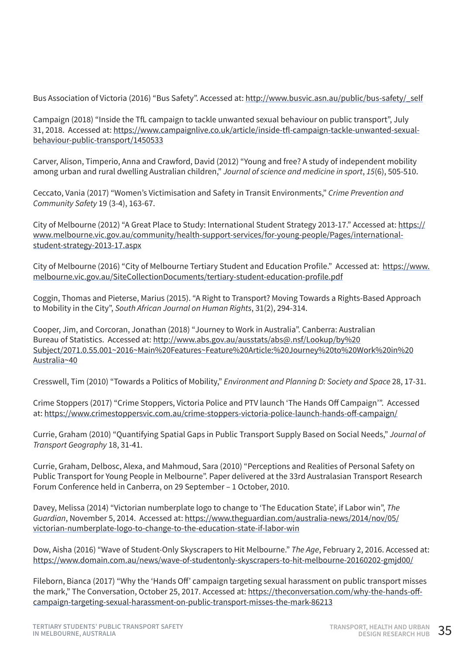Bus Association of Victoria (2016) "Bus Safety". Accessed at: [http://www.busvic.asn.au/public/bus-safety/\\_self](http://www.busvic.asn.au/public/bus-safety/_self)

Campaign (2018) "Inside the TfL campaign to tackle unwanted sexual behaviour on public transport", July 31, 2018. Accessed at: [https://www.campaignlive.co.uk/article/inside-tfl-campaign-tackle-unwanted-sexual](https://www.campaignlive.co.uk/article/inside-tfl-campaign-tackle-unwanted-sexual-behaviour-public-transport/1450533)[behaviour-public-transport/1450533](https://www.campaignlive.co.uk/article/inside-tfl-campaign-tackle-unwanted-sexual-behaviour-public-transport/1450533)

Carver, Alison, Timperio, Anna and Crawford, David (2012) "Young and free? A study of independent mobility among urban and rural dwelling Australian children," *Journal of science and medicine in sport*, *15*(6), 505-510.

Ceccato, Vania (2017) "Women's Victimisation and Safety in Transit Environments," *Crime Prevention and Community Safety* 19 (3-4), 163-67.

City of Melbourne (2012) "A Great Place to Study: International Student Strategy 2013-17." Accessed at: [https://](https://www.melbourne.vic.gov.au/community/health-support-services/for-young-people/Pages/international-student-strategy-2013-17.aspx) [www.melbourne.vic.gov.au/community/health-support-services/for-young-people/Pages/international](https://www.melbourne.vic.gov.au/community/health-support-services/for-young-people/Pages/international-student-strategy-2013-17.aspx)[student-strategy-2013-17.aspx](https://www.melbourne.vic.gov.au/community/health-support-services/for-young-people/Pages/international-student-strategy-2013-17.aspx)

City of Melbourne (2016) "City of Melbourne Tertiary Student and Education Profile." Accessed at: [https://www.](https://www.melbourne.vic.gov.au/SiteCollectionDocuments/tertiary-student-education-profile.pdf) [melbourne.vic.gov.au/SiteCollectionDocuments/tertiary-student-education-profile.pdf](https://www.melbourne.vic.gov.au/SiteCollectionDocuments/tertiary-student-education-profile.pdf)

Coggin, Thomas and Pieterse, Marius (2015). "A Right to Transport? Moving Towards a Rights-Based Approach to Mobility in the City", *South African Journal on Human Rights*, 31(2), 294-314.

Cooper, Jim, and Corcoran, Jonathan (2018) "Journey to Work in Australia". Canberra: Australian Bureau of Statistics. Accessed at: [http://www.abs.gov.au/ausstats/abs@.nsf/Lookup/by%20](http://www.abs.gov.au/ausstats/abs@.nsf/Lookup/by%20Subject/2071.0.55.001~2016~Main%20Features~Feature%20Article:%20Journey%20to%20Work%20in%20Australia~40) [Subject/2071.0.55.001~2016~Main%20Features~Feature%20Article:%20Journey%20to%20Work%20in%20](http://www.abs.gov.au/ausstats/abs@.nsf/Lookup/by%20Subject/2071.0.55.001~2016~Main%20Features~Feature%20Article:%20Journey%20to%20Work%20in%20Australia~40) [Australia~40](http://www.abs.gov.au/ausstats/abs@.nsf/Lookup/by%20Subject/2071.0.55.001~2016~Main%20Features~Feature%20Article:%20Journey%20to%20Work%20in%20Australia~40)

Cresswell, Tim (2010) "Towards a Politics of Mobility," *Environment and Planning D: Society and Space* 28, 17-31.

Crime Stoppers (2017) "Crime Stoppers, Victoria Police and PTV launch 'The Hands Off Campaign'". Accessed at: <https://www.crimestoppersvic.com.au/crime-stoppers-victoria-police-launch-hands-off-campaign/>

Currie, Graham (2010) "Quantifying Spatial Gaps in Public Transport Supply Based on Social Needs," *Journal of Transport Geography* 18, 31-41.

Currie, Graham, Delbosc, Alexa, and Mahmoud, Sara (2010) "Perceptions and Realities of Personal Safety on Public Transport for Young People in Melbourne". Paper delivered at the 33rd Australasian Transport Research Forum Conference held in Canberra, on 29 September – 1 October, 2010.

Davey, Melissa (2014) "Victorian numberplate logo to change to 'The Education State', if Labor win", *The Guardian*, November 5, 2014. Accessed at: [https://www.theguardian.com/australia-news/2014/nov/05/](https://www.theguardian.com/australia-news/2014/nov/05/victorian-numberplate-logo-to-change-to-the-education-state-if-labor-win) [victorian-numberplate-logo-to-change-to-the-education-state-if-labor-win](https://www.theguardian.com/australia-news/2014/nov/05/victorian-numberplate-logo-to-change-to-the-education-state-if-labor-win)

Dow, Aisha (2016) "Wave of Student-Only Skyscrapers to Hit Melbourne." *The Age*, February 2, 2016. Accessed at: <https://www.domain.com.au/news/wave-of-studentonly-skyscrapers-to-hit-melbourne-20160202-gmjd00/>

Fileborn, Bianca (2017) "Why the 'Hands Off' campaign targeting sexual harassment on public transport misses the mark," The Conversation, October 25, 2017. Accessed at: [https://theconversation.com/why-the-hands-off](https://theconversation.com/why-the-hands-off-campaign-targeting-sexual-harassment-on-public-transport-misses-the-mark-86213)[campaign-targeting-sexual-harassment-on-public-transport-misses-the-mark-86213](https://theconversation.com/why-the-hands-off-campaign-targeting-sexual-harassment-on-public-transport-misses-the-mark-86213)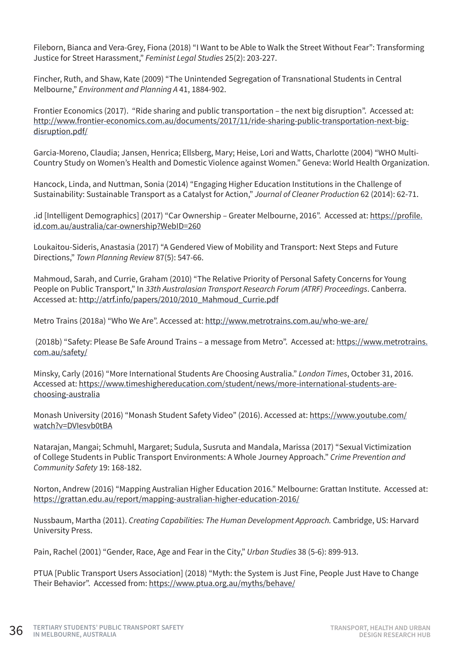Fileborn, Bianca and Vera-Grey, Fiona (2018) "I Want to be Able to Walk the Street Without Fear": Transforming Justice for Street Harassment," *Feminist Legal Studies* 25(2): 203-227.

Fincher, Ruth, and Shaw, Kate (2009) "The Unintended Segregation of Transnational Students in Central Melbourne," *Environment and Planning A* 41, 1884-902.

Frontier Economics (2017). "Ride sharing and public transportation – the next big disruption". Accessed at: [http://www.frontier-economics.com.au/documents/2017/11/ride-sharing-public-transportation-next-big](http://www.frontier-economics.com.au/documents/2017/11/ride-sharing-public-transportation-next-big-disruption.pdf/)[disruption.pdf/](http://www.frontier-economics.com.au/documents/2017/11/ride-sharing-public-transportation-next-big-disruption.pdf/)

Garcia-Moreno, Claudia; Jansen, Henrica; Ellsberg, Mary; Heise, Lori and Watts, Charlotte (2004) "WHO Multi-Country Study on Women's Health and Domestic Violence against Women." Geneva: World Health Organization.

Hancock, Linda, and Nuttman, Sonia (2014) "Engaging Higher Education Institutions in the Challenge of Sustainability: Sustainable Transport as a Catalyst for Action," *Journal of Cleaner Production* 62 (2014): 62-71.

.id [Intelligent Demographics] (2017) "Car Ownership – Greater Melbourne, 2016". Accessed at: [https://profile.](https://profile.id.com.au/australia/car-ownership?WebID=260) [id.com.au/australia/car-ownership?WebID=260](https://profile.id.com.au/australia/car-ownership?WebID=260)

Loukaitou-Sideris, Anastasia (2017) "A Gendered View of Mobility and Transport: Next Steps and Future Directions," *Town Planning Review* 87(5): 547-66.

Mahmoud, Sarah, and Currie, Graham (2010) "The Relative Priority of Personal Safety Concerns for Young People on Public Transport," In *33th Australasian Transport Research Forum (ATRF) Proceedings*. Canberra. Accessed at: [http://atrf.info/papers/2010/2010\\_Mahmoud\\_Currie.pdf](http://atrf.info/papers/2010/2010_Mahmoud_Currie.pdf)

Metro Trains (2018a) "Who We Are". Accessed at:<http://www.metrotrains.com.au/who-we-are/>

 (2018b) "Safety: Please Be Safe Around Trains – a message from Metro". Accessed at: [https://www.metrotrains.](https://www.metrotrains.com.au/safety/) [com.au/safety/](https://www.metrotrains.com.au/safety/)

Minsky, Carly (2016) "More International Students Are Choosing Australia." *London Times*, October 31, 2016. Accessed at: [https://www.timeshighereducation.com/student/news/more-international-students-are](https://www.timeshighereducation.com/student/news/more-international-students-are-choosing-australia)[choosing-australia](https://www.timeshighereducation.com/student/news/more-international-students-are-choosing-australia)

Monash University (2016) "Monash Student Safety Video" (2016). Accessed at: [https://www.youtube.com/](https://www.youtube.com/watch?v=DVIesvb0tBA) [watch?v=DVIesvb0tBA](https://www.youtube.com/watch?v=DVIesvb0tBA)

Natarajan, Mangai; Schmuhl, Margaret; Sudula, Susruta and Mandala, Marissa (2017) "Sexual Victimization of College Students in Public Transport Environments: A Whole Journey Approach." *Crime Prevention and Community Safety* 19: 168-182.

Norton, Andrew (2016) "Mapping Australian Higher Education 2016." Melbourne: Grattan Institute. Accessed at: <https://grattan.edu.au/report/mapping-australian-higher-education-2016/>

Nussbaum, Martha (2011). *Creating Capabilities: The Human Development Approach.* Cambridge, US: Harvard University Press.

Pain, Rachel (2001) "Gender, Race, Age and Fear in the City," *Urban Studies* 38 (5-6): 899-913.

PTUA [Public Transport Users Association] (2018) "Myth: the System is Just Fine, People Just Have to Change Their Behavior". Accessed from: <https://www.ptua.org.au/myths/behave/>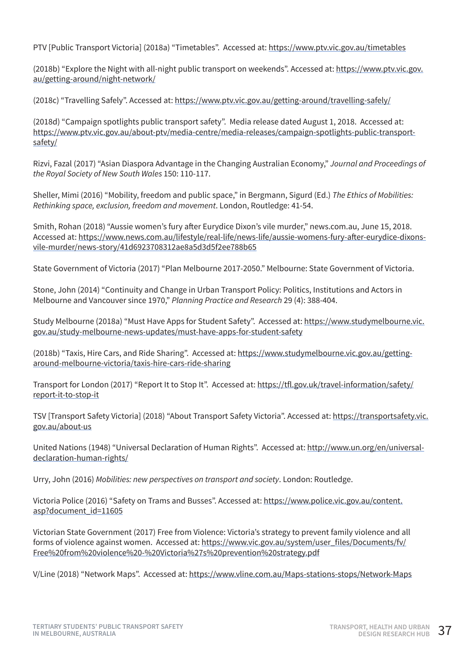PTV [Public Transport Victoria] (2018a) "Timetables". Accessed at:<https://www.ptv.vic.gov.au/timetables>

(2018b) "Explore the Night with all-night public transport on weekends". Accessed at: [https://www.ptv.vic.gov.](https://www.ptv.vic.gov.au/getting-around/night-network/) [au/getting-around/night-network/](https://www.ptv.vic.gov.au/getting-around/night-network/)

(2018c) "Travelling Safely". Accessed at: <https://www.ptv.vic.gov.au/getting-around/travelling-safely/>

(2018d) "Campaign spotlights public transport safety". Media release dated August 1, 2018. Accessed at: [https://www.ptv.vic.gov.au/about-ptv/media-centre/media-releases/campaign-spotlights-public-transport](https://www.ptv.vic.gov.au/about-ptv/media-centre/media-releases/campaign-spotlights-public-transport-safety/)[safety/](https://www.ptv.vic.gov.au/about-ptv/media-centre/media-releases/campaign-spotlights-public-transport-safety/)

Rizvi, Fazal (2017) "Asian Diaspora Advantage in the Changing Australian Economy," *Journal and Proceedings of the Royal Society of New South Wales* 150: 110-117.

Sheller, Mimi (2016) "Mobility, freedom and public space," in Bergmann, Sigurd (Ed.) *The Ethics of Mobilities: Rethinking space, exclusion, freedom and movement*. London, Routledge: 41-54.

Smith, Rohan (2018) "Aussie women's fury after Eurydice Dixon's vile murder," news.com.au, June 15, 2018. Accessed at: [https://www.news.com.au/lifestyle/real-life/news-life/aussie-womens-fury-after-eurydice-dixons](https://www.news.com.au/lifestyle/real-life/news-life/aussie-womens-fury-after-eurydice-dixons-vile-murder/news-story/41d6923708312ae8a5d3d5f2ee788b65)[vile-murder/news-story/41d6923708312ae8a5d3d5f2ee788b65](https://www.news.com.au/lifestyle/real-life/news-life/aussie-womens-fury-after-eurydice-dixons-vile-murder/news-story/41d6923708312ae8a5d3d5f2ee788b65)

State Government of Victoria (2017) "Plan Melbourne 2017-2050." Melbourne: State Government of Victoria.

Stone, John (2014) "Continuity and Change in Urban Transport Policy: Politics, Institutions and Actors in Melbourne and Vancouver since 1970," *Planning Practice and Research* 29 (4): 388-404.

Study Melbourne (2018a) "Must Have Apps for Student Safety". Accessed at: [https://www.studymelbourne.vic.](https://www.studymelbourne.vic.gov.au/study-melbourne-news-updates/must-have-apps-for-student-safety) [gov.au/study-melbourne-news-updates/must-have-apps-for-student-safety](https://www.studymelbourne.vic.gov.au/study-melbourne-news-updates/must-have-apps-for-student-safety)

(2018b) "Taxis, Hire Cars, and Ride Sharing". Accessed at: [https://www.studymelbourne.vic.gov.au/getting](https://www.studymelbourne.vic.gov.au/getting-around-melbourne-victoria/taxis-hire-cars-ride-sharing)[around-melbourne-victoria/taxis-hire-cars-ride-sharing](https://www.studymelbourne.vic.gov.au/getting-around-melbourne-victoria/taxis-hire-cars-ride-sharing)

Transport for London (2017) "Report It to Stop It". Accessed at: [https://tfl.gov.uk/travel-information/safety/](https://tfl.gov.uk/travel-information/safety/report-it-to-stop-it) [report-it-to-stop-it](https://tfl.gov.uk/travel-information/safety/report-it-to-stop-it)

TSV [Transport Safety Victoria] (2018) "About Transport Safety Victoria". Accessed at: [https://transportsafety.vic.](https://transportsafety.vic.gov.au/about-us) [gov.au/about-us](https://transportsafety.vic.gov.au/about-us)

United Nations (1948) "Universal Declaration of Human Rights". Accessed at: [http://www.un.org/en/universal](http://www.un.org/en/universal-declaration-human-rights/)[declaration-human-rights/](http://www.un.org/en/universal-declaration-human-rights/)

Urry, John (2016) *Mobilities: new perspectives on transport and society*. London: Routledge.

Victoria Police (2016) "Safety on Trams and Busses". Accessed at: [https://www.police.vic.gov.au/content.](https://www.police.vic.gov.au/content.asp?document_id=11605) [asp?document\\_id=11605](https://www.police.vic.gov.au/content.asp?document_id=11605)

Victorian State Government (2017) Free from Violence: Victoria's strategy to prevent family violence and all forms of violence against women. Accessed at: [https://www.vic.gov.au/system/user\\_files/Documents/fv/](https://www.vic.gov.au/system/user_files/Documents/fv/Free%20from%20violence%20-%20Victoria%27s%20prevention%20strategy.pdf) [Free%20from%20violence%20-%20Victoria%27s%20prevention%20strategy.pdf](https://www.vic.gov.au/system/user_files/Documents/fv/Free%20from%20violence%20-%20Victoria%27s%20prevention%20strategy.pdf)

V/Line (2018) "Network Maps". Accessed at:<https://www.vline.com.au/Maps-stations-stops/Network-Maps>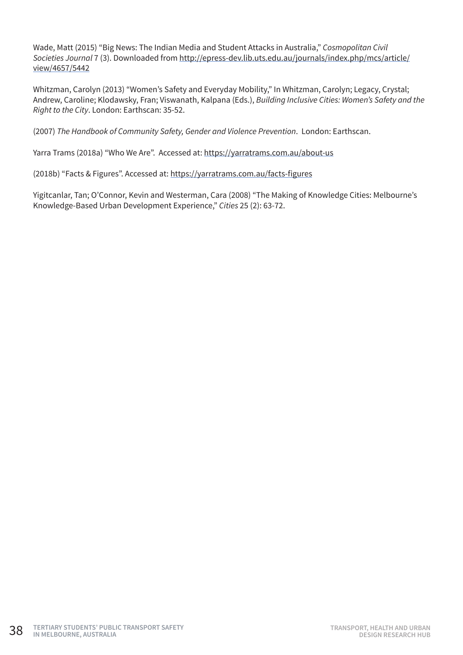Wade, Matt (2015) "Big News: The Indian Media and Student Attacks in Australia," *Cosmopolitan Civil Societies Journal* 7 (3). Downloaded from [http://epress-dev.lib.uts.edu.au/journals/index.php/mcs/article/](http://epress-dev.lib.uts.edu.au/journals/index.php/mcs/article/view/4657/5442) [view/4657/5442](http://epress-dev.lib.uts.edu.au/journals/index.php/mcs/article/view/4657/5442)

Whitzman, Carolyn (2013) "Women's Safety and Everyday Mobility," In Whitzman, Carolyn; Legacy, Crystal; Andrew, Caroline; Klodawsky, Fran; Viswanath, Kalpana (Eds.), *Building Inclusive Cities: Women's Safety and the Right to the City*. London: Earthscan: 35-52.

(2007) *The Handbook of Community Safety, Gender and Violence Prevention*. London: Earthscan.

Yarra Trams (2018a) "Who We Are". Accessed at:<https://yarratrams.com.au/about-us>

(2018b) "Facts & Figures". Accessed at: <https://yarratrams.com.au/facts-figures>

Yigitcanlar, Tan; O'Connor, Kevin and Westerman, Cara (2008) "The Making of Knowledge Cities: Melbourne's Knowledge-Based Urban Development Experience," *Cities* 25 (2): 63-72.